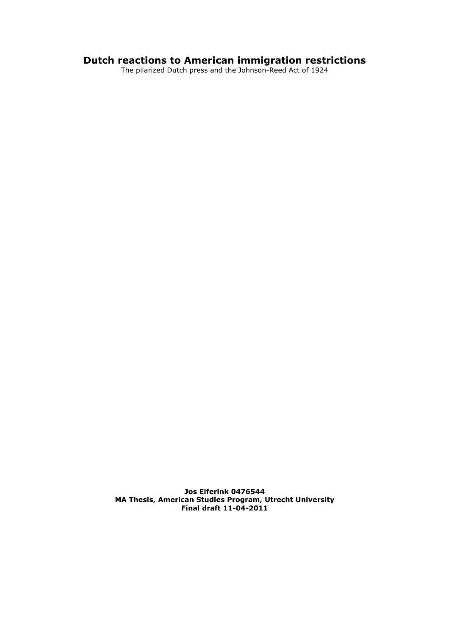# **Dutch reactions to American immigration restrictions**

The pilarized Dutch press and the Johnson-Reed Act of 1924

**Jos Elferink 0476544 MA Thesis, American Studies Program, Utrecht University Final draft 11-04-2011**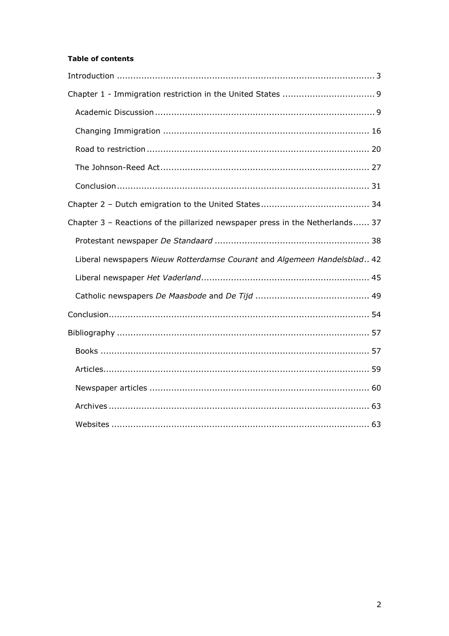# **Table of contents**

| Chapter 3 - Reactions of the pillarized newspaper press in the Netherlands 37 |
|-------------------------------------------------------------------------------|
|                                                                               |
| Liberal newspapers Nieuw Rotterdamse Courant and Algemeen Handelsblad 42      |
|                                                                               |
|                                                                               |
|                                                                               |
|                                                                               |
|                                                                               |
|                                                                               |
|                                                                               |
|                                                                               |
|                                                                               |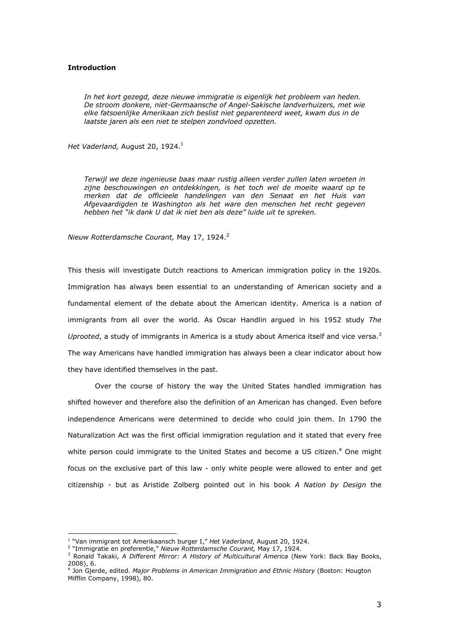### **Introduction**

*In het kort gezegd, deze nieuwe immigratie is eigenlijk het probleem van heden. De stroom donkere, niet-Germaansche of Angel-Sakische landverhuizers, met wie elke fatsoenlijke Amerikaan zich beslist niet geparenteerd weet, kwam dus in de laatste jaren als een niet te stelpen zondvloed opzetten.* 

*Het Vaderland, August 20, 1924.<sup>1</sup>* 

*Terwijl we deze ingenieuse baas maar rustig alleen verder zullen laten wroeten in zijne beschouwingen en ontdekkingen, is het toch wel de moeite waard op te merken dat de officieele handelingen van den Senaat en het Huis van Afgevaardigden te Washington als het ware den menschen het recht gegeven hebben het "ik dank U dat ik niet ben als deze" luide uit te spreken.* 

*Nieuw Rotterdamsche Courant,* May 17, 1924.<sup>2</sup>

This thesis will investigate Dutch reactions to American immigration policy in the 1920s. Immigration has always been essential to an understanding of American society and a fundamental element of the debate about the American identity. America is a nation of immigrants from all over the world. As Oscar Handlin argued in his 1952 study *The*  Uprooted, a study of immigrants in America is a study about America itself and vice versa.<sup>3</sup> The way Americans have handled immigration has always been a clear indicator about how they have identified themselves in the past.

 Over the course of history the way the United States handled immigration has shifted however and therefore also the definition of an American has changed. Even before independence Americans were determined to decide who could join them. In 1790 the Naturalization Act was the first official immigration regulation and it stated that every free white person could immigrate to the United States and become a US citizen.<sup>4</sup> One might focus on the exclusive part of this law - only white people were allowed to enter and get citizenship - but as Aristide Zolberg pointed out in his book *A Nation by Design* the

 1 "Van immigrant tot Amerikaansch burger I," *Het Vaderland*, August 20, 1924.

<sup>2</sup> "Immigratie en preferentie," *Nieuw Rotterdamsche Courant,* May 17, 1924.

<sup>3</sup> Ronald Takaki, *A Different Mirror: A History of Multicultural America* (New York: Back Bay Books,

<sup>2008), 6.&</sup>lt;br><sup>4</sup> Jon Gjerde, edited. *Major Problems in American Immigration and Ethnic History* (Boston: Hougton Mifflin Company, 1998), 80.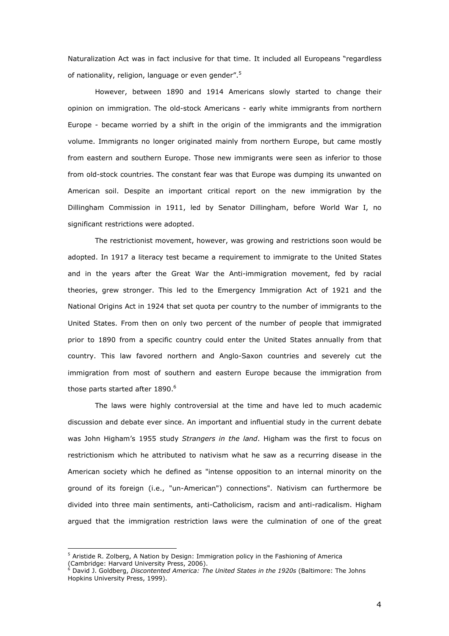Naturalization Act was in fact inclusive for that time. It included all Europeans "regardless of nationality, religion, language or even gender".<sup>5</sup>

However, between 1890 and 1914 Americans slowly started to change their opinion on immigration. The old-stock Americans - early white immigrants from northern Europe - became worried by a shift in the origin of the immigrants and the immigration volume. Immigrants no longer originated mainly from northern Europe, but came mostly from eastern and southern Europe. Those new immigrants were seen as inferior to those from old-stock countries. The constant fear was that Europe was dumping its unwanted on American soil. Despite an important critical report on the new immigration by the Dillingham Commission in 1911, led by Senator Dillingham, before World War I, no significant restrictions were adopted.

The restrictionist movement, however, was growing and restrictions soon would be adopted. In 1917 a literacy test became a requirement to immigrate to the United States and in the years after the Great War the Anti-immigration movement, fed by racial theories, grew stronger. This led to the Emergency Immigration Act of 1921 and the National Origins Act in 1924 that set quota per country to the number of immigrants to the United States. From then on only two percent of the number of people that immigrated prior to 1890 from a specific country could enter the United States annually from that country. This law favored northern and Anglo-Saxon countries and severely cut the immigration from most of southern and eastern Europe because the immigration from those parts started after 1890.<sup>6</sup>

 The laws were highly controversial at the time and have led to much academic discussion and debate ever since. An important and influential study in the current debate was John Higham's 1955 study *Strangers in the land*. Higham was the first to focus on restrictionism which he attributed to nativism what he saw as a recurring disease in the American society which he defined as "intense opposition to an internal minority on the ground of its foreign (i.e., "un-American") connections". Nativism can furthermore be divided into three main sentiments, anti-Catholicism, racism and anti-radicalism. Higham argued that the immigration restriction laws were the culmination of one of the great

<sup>&</sup>lt;sup>5</sup> Aristide R. Zolberg, A Nation by Design: Immigration policy in the Fashioning of America

<sup>(</sup>Cambridge: Harvard University Press, 2006).<br><sup>6</sup> David J. Goldberg, *Discontented America: The United States in the 1920s* (Baltimore: The Johns Hopkins University Press, 1999).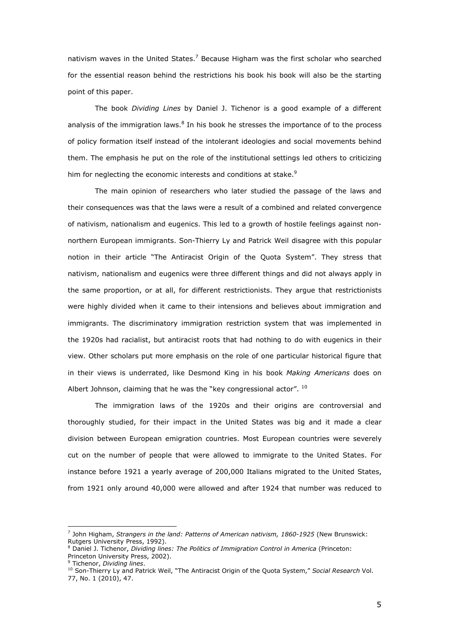nativism waves in the United States.<sup>7</sup> Because Higham was the first scholar who searched for the essential reason behind the restrictions his book his book will also be the starting point of this paper.

The book *Dividing Lines* by Daniel J. Tichenor is a good example of a different analysis of the immigration laws. $8$  In his book he stresses the importance of to the process of policy formation itself instead of the intolerant ideologies and social movements behind them. The emphasis he put on the role of the institutional settings led others to criticizing him for neglecting the economic interests and conditions at stake.<sup>9</sup>

The main opinion of researchers who later studied the passage of the laws and their consequences was that the laws were a result of a combined and related convergence of nativism, nationalism and eugenics. This led to a growth of hostile feelings against nonnorthern European immigrants. Son-Thierry Ly and Patrick Weil disagree with this popular notion in their article "The Antiracist Origin of the Quota System". They stress that nativism, nationalism and eugenics were three different things and did not always apply in the same proportion, or at all, for different restrictionists. They argue that restrictionists were highly divided when it came to their intensions and believes about immigration and immigrants. The discriminatory immigration restriction system that was implemented in the 1920s had racialist, but antiracist roots that had nothing to do with eugenics in their view. Other scholars put more emphasis on the role of one particular historical figure that in their views is underrated, like Desmond King in his book *Making Americans* does on Albert Johnson, claiming that he was the "key congressional actor". <sup>10</sup>

 The immigration laws of the 1920s and their origins are controversial and thoroughly studied, for their impact in the United States was big and it made a clear division between European emigration countries. Most European countries were severely cut on the number of people that were allowed to immigrate to the United States. For instance before 1921 a yearly average of 200,000 Italians migrated to the United States, from 1921 only around 40,000 were allowed and after 1924 that number was reduced to

<sup>7</sup> John Higham, *Strangers in the land: Patterns of American nativism, 1860-1925* (New Brunswick: Rutgers University Press, 1992).

<sup>8</sup> Daniel J. Tichenor, *Dividing lines: The Politics of Immigration Control in America* (Princeton: Princeton University Press, 2002). 9 Tichenor, *Dividing lines*.

<sup>10</sup> Son-Thierry Ly and Patrick Weil, "The Antiracist Origin of the Quota System," *Social Research* Vol. 77, No. 1 (2010), 47.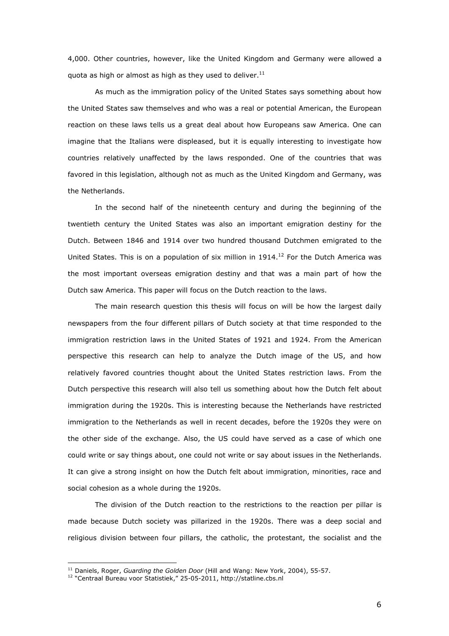4,000. Other countries, however, like the United Kingdom and Germany were allowed a quota as high or almost as high as they used to deliver. $11$ 

As much as the immigration policy of the United States says something about how the United States saw themselves and who was a real or potential American, the European reaction on these laws tells us a great deal about how Europeans saw America. One can imagine that the Italians were displeased, but it is equally interesting to investigate how countries relatively unaffected by the laws responded. One of the countries that was favored in this legislation, although not as much as the United Kingdom and Germany, was the Netherlands.

In the second half of the nineteenth century and during the beginning of the twentieth century the United States was also an important emigration destiny for the Dutch. Between 1846 and 1914 over two hundred thousand Dutchmen emigrated to the United States. This is on a population of six million in  $1914<sup>12</sup>$  For the Dutch America was the most important overseas emigration destiny and that was a main part of how the Dutch saw America. This paper will focus on the Dutch reaction to the laws.

 The main research question this thesis will focus on will be how the largest daily newspapers from the four different pillars of Dutch society at that time responded to the immigration restriction laws in the United States of 1921 and 1924. From the American perspective this research can help to analyze the Dutch image of the US, and how relatively favored countries thought about the United States restriction laws. From the Dutch perspective this research will also tell us something about how the Dutch felt about immigration during the 1920s. This is interesting because the Netherlands have restricted immigration to the Netherlands as well in recent decades, before the 1920s they were on the other side of the exchange. Also, the US could have served as a case of which one could write or say things about, one could not write or say about issues in the Netherlands. It can give a strong insight on how the Dutch felt about immigration, minorities, race and social cohesion as a whole during the 1920s.

 The division of the Dutch reaction to the restrictions to the reaction per pillar is made because Dutch society was pillarized in the 1920s. There was a deep social and religious division between four pillars, the catholic, the protestant, the socialist and the

<sup>11</sup> Daniels, Roger, *Guarding the Golden Door* (Hill and Wang: New York, 2004), 55-57.

<sup>&</sup>lt;sup>12</sup> "Centraal Bureau voor Statistiek," 25-05-2011, http://statline.cbs.nl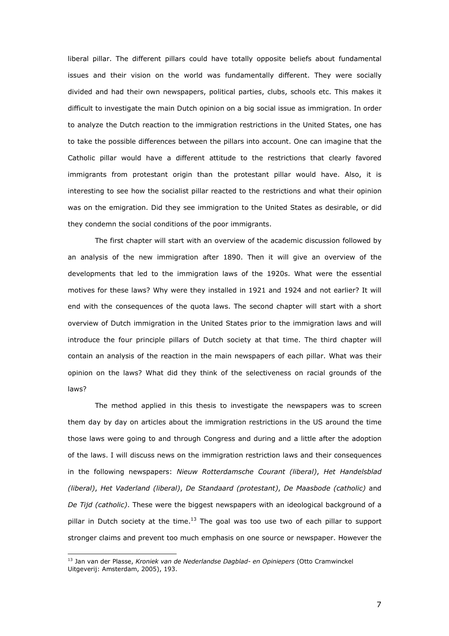liberal pillar. The different pillars could have totally opposite beliefs about fundamental issues and their vision on the world was fundamentally different. They were socially divided and had their own newspapers, political parties, clubs, schools etc. This makes it difficult to investigate the main Dutch opinion on a big social issue as immigration. In order to analyze the Dutch reaction to the immigration restrictions in the United States, one has to take the possible differences between the pillars into account. One can imagine that the Catholic pillar would have a different attitude to the restrictions that clearly favored immigrants from protestant origin than the protestant pillar would have. Also, it is interesting to see how the socialist pillar reacted to the restrictions and what their opinion was on the emigration. Did they see immigration to the United States as desirable, or did they condemn the social conditions of the poor immigrants.

The first chapter will start with an overview of the academic discussion followed by an analysis of the new immigration after 1890. Then it will give an overview of the developments that led to the immigration laws of the 1920s. What were the essential motives for these laws? Why were they installed in 1921 and 1924 and not earlier? It will end with the consequences of the quota laws. The second chapter will start with a short overview of Dutch immigration in the United States prior to the immigration laws and will introduce the four principle pillars of Dutch society at that time. The third chapter will contain an analysis of the reaction in the main newspapers of each pillar. What was their opinion on the laws? What did they think of the selectiveness on racial grounds of the laws?

The method applied in this thesis to investigate the newspapers was to screen them day by day on articles about the immigration restrictions in the US around the time those laws were going to and through Congress and during and a little after the adoption of the laws. I will discuss news on the immigration restriction laws and their consequences in the following newspapers: *Nieuw Rotterdamsche Courant (liberal)*, *Het Handelsblad (liberal)*, *Het Vaderland (liberal)*, *De Standaard (protestant)*, *De Maasbode (catholic)* and *De Tijd (catholic)*. These were the biggest newspapers with an ideological background of a pillar in Dutch society at the time.<sup>13</sup> The goal was too use two of each pillar to support stronger claims and prevent too much emphasis on one source or newspaper. However the

<sup>13</sup> Jan van der Plasse, *Kroniek van de Nederlandse Dagblad- en Opiniepers* (Otto Cramwinckel Uitgeverij: Amsterdam, 2005), 193.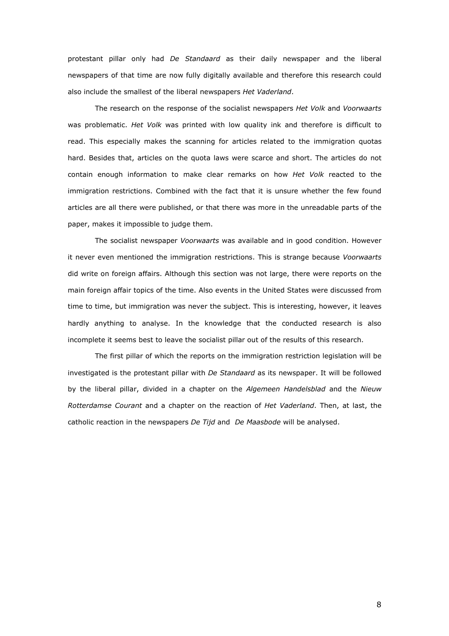protestant pillar only had *De Standaard* as their daily newspaper and the liberal newspapers of that time are now fully digitally available and therefore this research could also include the smallest of the liberal newspapers *Het Vaderland*.

The research on the response of the socialist newspapers *Het Volk* and *Voorwaarts* was problematic. *Het Volk* was printed with low quality ink and therefore is difficult to read. This especially makes the scanning for articles related to the immigration quotas hard. Besides that, articles on the quota laws were scarce and short. The articles do not contain enough information to make clear remarks on how *Het Volk* reacted to the immigration restrictions. Combined with the fact that it is unsure whether the few found articles are all there were published, or that there was more in the unreadable parts of the paper, makes it impossible to judge them.

 The socialist newspaper *Voorwaarts* was available and in good condition. However it never even mentioned the immigration restrictions. This is strange because *Voorwaarts*  did write on foreign affairs. Although this section was not large, there were reports on the main foreign affair topics of the time. Also events in the United States were discussed from time to time, but immigration was never the subject. This is interesting, however, it leaves hardly anything to analyse. In the knowledge that the conducted research is also incomplete it seems best to leave the socialist pillar out of the results of this research.

The first pillar of which the reports on the immigration restriction legislation will be investigated is the protestant pillar with *De Standaard* as its newspaper. It will be followed by the liberal pillar, divided in a chapter on the *Algemeen Handelsblad* and the *Nieuw Rotterdamse Courant* and a chapter on the reaction of *Het Vaderland*. Then, at last, the catholic reaction in the newspapers *De Tijd* and *De Maasbode* will be analysed.

8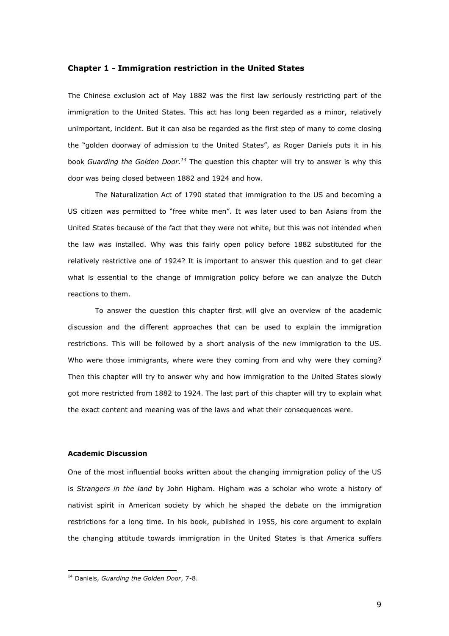### **Chapter 1 - Immigration restriction in the United States**

The Chinese exclusion act of May 1882 was the first law seriously restricting part of the immigration to the United States. This act has long been regarded as a minor, relatively unimportant, incident. But it can also be regarded as the first step of many to come closing the "golden doorway of admission to the United States", as Roger Daniels puts it in his book *Guarding the Golden Door.<sup>14</sup>* The question this chapter will try to answer is why this door was being closed between 1882 and 1924 and how.

 The Naturalization Act of 1790 stated that immigration to the US and becoming a US citizen was permitted to "free white men". It was later used to ban Asians from the United States because of the fact that they were not white, but this was not intended when the law was installed. Why was this fairly open policy before 1882 substituted for the relatively restrictive one of 1924? It is important to answer this question and to get clear what is essential to the change of immigration policy before we can analyze the Dutch reactions to them.

 To answer the question this chapter first will give an overview of the academic discussion and the different approaches that can be used to explain the immigration restrictions. This will be followed by a short analysis of the new immigration to the US. Who were those immigrants, where were they coming from and why were they coming? Then this chapter will try to answer why and how immigration to the United States slowly got more restricted from 1882 to 1924. The last part of this chapter will try to explain what the exact content and meaning was of the laws and what their consequences were.

## **Academic Discussion**

One of the most influential books written about the changing immigration policy of the US is *Strangers in the land* by John Higham. Higham was a scholar who wrote a history of nativist spirit in American society by which he shaped the debate on the immigration restrictions for a long time. In his book, published in 1955, his core argument to explain the changing attitude towards immigration in the United States is that America suffers

<sup>14</sup> Daniels, *Guarding the Golden Door*, 7-8.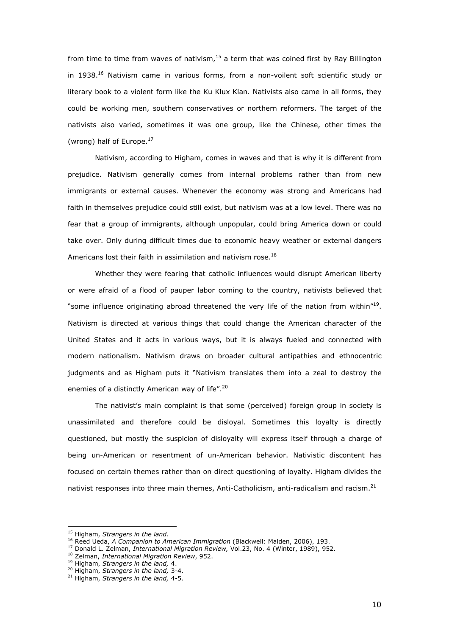from time to time from waves of nativism, $15$  a term that was coined first by Ray Billington in 1938.<sup>16</sup> Nativism came in various forms, from a non-voilent soft scientific study or literary book to a violent form like the Ku Klux Klan. Nativists also came in all forms, they could be working men, southern conservatives or northern reformers. The target of the nativists also varied, sometimes it was one group, like the Chinese, other times the (wrong) half of Europe. $^{17}$ 

 Nativism, according to Higham, comes in waves and that is why it is different from prejudice. Nativism generally comes from internal problems rather than from new immigrants or external causes. Whenever the economy was strong and Americans had faith in themselves prejudice could still exist, but nativism was at a low level. There was no fear that a group of immigrants, although unpopular, could bring America down or could take over. Only during difficult times due to economic heavy weather or external dangers Americans lost their faith in assimilation and nativism rose.<sup>18</sup>

Whether they were fearing that catholic influences would disrupt American liberty or were afraid of a flood of pauper labor coming to the country, nativists believed that "some influence originating abroad threatened the very life of the nation from within"<sup>19</sup>. Nativism is directed at various things that could change the American character of the United States and it acts in various ways, but it is always fueled and connected with modern nationalism. Nativism draws on broader cultural antipathies and ethnocentric judgments and as Higham puts it "Nativism translates them into a zeal to destroy the enemies of a distinctly American way of life".<sup>20</sup>

 The nativist's main complaint is that some (perceived) foreign group in society is unassimilated and therefore could be disloyal. Sometimes this loyalty is directly questioned, but mostly the suspicion of disloyalty will express itself through a charge of being un-American or resentment of un-American behavior. Nativistic discontent has focused on certain themes rather than on direct questioning of loyalty. Higham divides the nativist responses into three main themes, Anti-Catholicism, anti-radicalism and racism. $2<sup>1</sup>$ 

<sup>15</sup> Higham, *Strangers in the land*.

<sup>16</sup> Reed Ueda, *A Companion to American Immigration* (Blackwell: Malden, 2006), 193.

<sup>17</sup> Donald L. Zelman, *International Migration Review,* Vol.23, No. 4 (Winter, 1989), 952.

<sup>18</sup> Zelman, *International Migration Review*, 952.

<sup>19</sup> Higham, *Strangers in the land,* 4.

<sup>20</sup> Higham, *Strangers in the land,* 3-4.

<sup>21</sup> Higham, *Strangers in the land,* 4-5.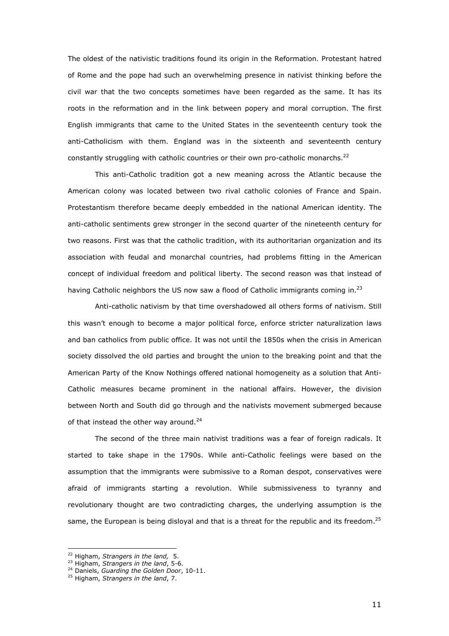The oldest of the nativistic traditions found its origin in the Reformation. Protestant hatred of Rome and the pope had such an overwhelming presence in nativist thinking before the civil war that the two concepts sometimes have been regarded as the same. It has its roots in the reformation and in the link between popery and moral corruption. The first English immigrants that came to the United States in the seventeenth century took the anti-Catholicism with them. England was in the sixteenth and seventeenth century constantly struggling with catholic countries or their own pro-catholic monarchs. $^{22}$ 

This anti-Catholic tradition got a new meaning across the Atlantic because the American colony was located between two rival catholic colonies of France and Spain. Protestantism therefore became deeply embedded in the national American identity. The anti-catholic sentiments grew stronger in the second quarter of the nineteenth century for two reasons. First was that the catholic tradition, with its authoritarian organization and its association with feudal and monarchal countries, had problems fitting in the American concept of individual freedom and political liberty. The second reason was that instead of having Catholic neighbors the US now saw a flood of Catholic immigrants coming in. $^{23}$ 

Anti-catholic nativism by that time overshadowed all others forms of nativism. Still this wasn't enough to become a major political force, enforce stricter naturalization laws and ban catholics from public office. It was not until the 1850s when the crisis in American society dissolved the old parties and brought the union to the breaking point and that the American Party of the Know Nothings offered national homogeneity as a solution that Anti-Catholic measures became prominent in the national affairs. However, the division between North and South did go through and the nativists movement submerged because of that instead the other way around. $24$ 

The second of the three main nativist traditions was a fear of foreign radicals. It started to take shape in the 1790s. While anti-Catholic feelings were based on the assumption that the immigrants were submissive to a Roman despot, conservatives were afraid of immigrants starting a revolution. While submissiveness to tyranny and revolutionary thought are two contradicting charges, the underlying assumption is the same, the European is being disloyal and that is a threat for the republic and its freedom.<sup>25</sup>

<sup>22</sup> Higham, *Strangers in the land,* 5.

<sup>23</sup> Higham, *Strangers in the land*, 5-6.

<sup>24</sup> Daniels, *Guarding the Golden Door*, 10-11.

<sup>25</sup> Higham, *Strangers in the land*, 7.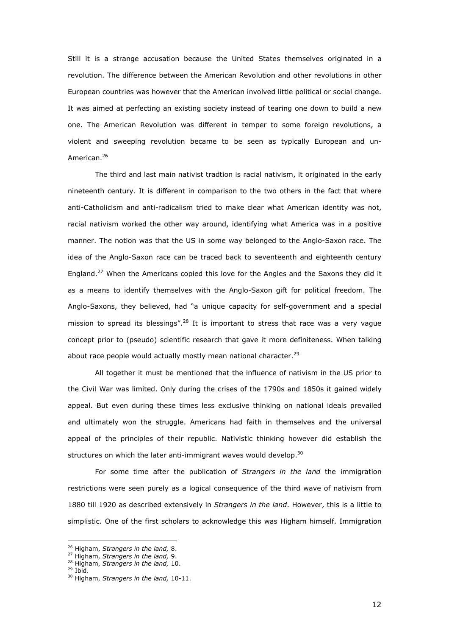Still it is a strange accusation because the United States themselves originated in a revolution. The difference between the American Revolution and other revolutions in other European countries was however that the American involved little political or social change. It was aimed at perfecting an existing society instead of tearing one down to build a new one. The American Revolution was different in temper to some foreign revolutions, a violent and sweeping revolution became to be seen as typically European and un-American.<sup>26</sup>

 The third and last main nativist tradtion is racial nativism, it originated in the early nineteenth century. It is different in comparison to the two others in the fact that where anti-Catholicism and anti-radicalism tried to make clear what American identity was not, racial nativism worked the other way around, identifying what America was in a positive manner. The notion was that the US in some way belonged to the Anglo-Saxon race. The idea of the Anglo-Saxon race can be traced back to seventeenth and eighteenth century England.<sup>27</sup> When the Americans copied this love for the Angles and the Saxons they did it as a means to identify themselves with the Anglo-Saxon gift for political freedom. The Anglo-Saxons, they believed, had "a unique capacity for self-government and a special mission to spread its blessings".<sup>28</sup> It is important to stress that race was a very vague concept prior to (pseudo) scientific research that gave it more definiteness. When talking about race people would actually mostly mean national character.<sup>29</sup>

 All together it must be mentioned that the influence of nativism in the US prior to the Civil War was limited. Only during the crises of the 1790s and 1850s it gained widely appeal. But even during these times less exclusive thinking on national ideals prevailed and ultimately won the struggle. Americans had faith in themselves and the universal appeal of the principles of their republic. Nativistic thinking however did establish the structures on which the later anti-immigrant waves would develop. $30$ 

 For some time after the publication of *Strangers in the land* the immigration restrictions were seen purely as a logical consequence of the third wave of nativism from 1880 till 1920 as described extensively in *Strangers in the land*. However, this is a little to simplistic. One of the first scholars to acknowledge this was Higham himself. Immigration

<sup>26</sup> Higham, *Strangers in the land,* 8.

<sup>27</sup> Higham, *Strangers in the land,* 9.

<sup>28</sup> Higham, *Strangers in the land,* 10.

 $29$  Ibid.

<sup>30</sup> Higham, *Strangers in the land,* 10-11.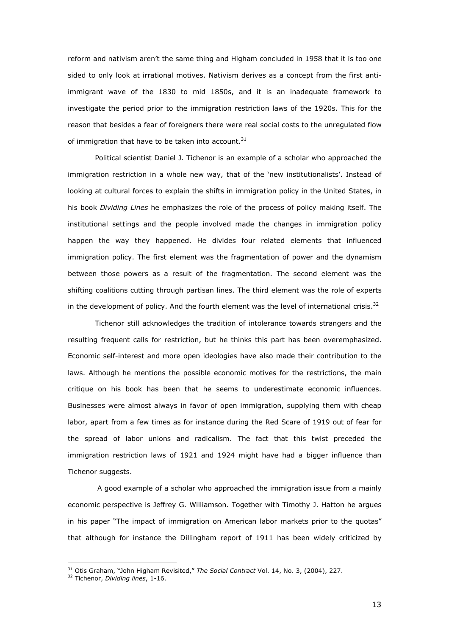reform and nativism aren't the same thing and Higham concluded in 1958 that it is too one sided to only look at irrational motives. Nativism derives as a concept from the first antiimmigrant wave of the 1830 to mid 1850s, and it is an inadequate framework to investigate the period prior to the immigration restriction laws of the 1920s. This for the reason that besides a fear of foreigners there were real social costs to the unregulated flow of immigration that have to be taken into account. $31$ 

 Political scientist Daniel J. Tichenor is an example of a scholar who approached the immigration restriction in a whole new way, that of the 'new institutionalists'. Instead of looking at cultural forces to explain the shifts in immigration policy in the United States, in his book *Dividing Lines* he emphasizes the role of the process of policy making itself. The institutional settings and the people involved made the changes in immigration policy happen the way they happened. He divides four related elements that influenced immigration policy. The first element was the fragmentation of power and the dynamism between those powers as a result of the fragmentation. The second element was the shifting coalitions cutting through partisan lines. The third element was the role of experts in the development of policy. And the fourth element was the level of international crisis.<sup>32</sup>

 Tichenor still acknowledges the tradition of intolerance towards strangers and the resulting frequent calls for restriction, but he thinks this part has been overemphasized. Economic self-interest and more open ideologies have also made their contribution to the laws. Although he mentions the possible economic motives for the restrictions, the main critique on his book has been that he seems to underestimate economic influences. Businesses were almost always in favor of open immigration, supplying them with cheap labor, apart from a few times as for instance during the Red Scare of 1919 out of fear for the spread of labor unions and radicalism. The fact that this twist preceded the immigration restriction laws of 1921 and 1924 might have had a bigger influence than Tichenor suggests.

 A good example of a scholar who approached the immigration issue from a mainly economic perspective is Jeffrey G. Williamson. Together with Timothy J. Hatton he argues in his paper "The impact of immigration on American labor markets prior to the quotas" that although for instance the Dillingham report of 1911 has been widely criticized by

<sup>31</sup> Otis Graham, "John Higham Revisited," *The Social Contract* Vol. 14, No. 3, (2004), 227.

<sup>32</sup> Tichenor, *Dividing lines*, 1-16.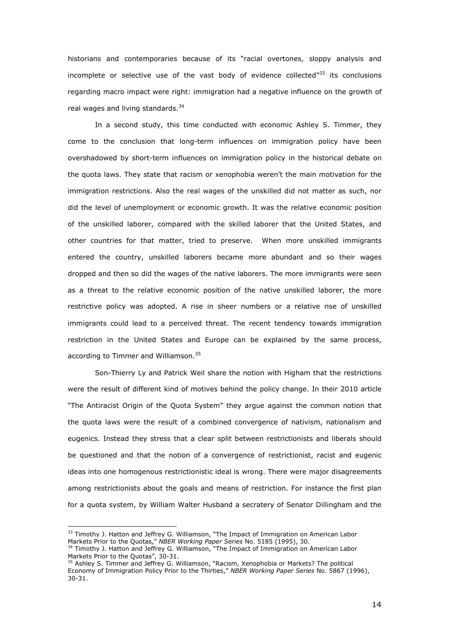historians and contemporaries because of its "racial overtones, sloppy analysis and incomplete or selective use of the vast body of evidence collected $^{n33}$  its conclusions regarding macro impact were right: immigration had a negative influence on the growth of real wages and living standards.<sup>34</sup>

 In a second study, this time conducted with economic Ashley S. Timmer, they come to the conclusion that long-term influences on immigration policy have been overshadowed by short-term influences on immigration policy in the historical debate on the quota laws. They state that racism or xenophobia weren't the main motivation for the immigration restrictions. Also the real wages of the unskilled did not matter as such, nor did the level of unemployment or economic growth. It was the relative economic position of the unskilled laborer, compared with the skilled laborer that the United States, and other countries for that matter, tried to preserve. When more unskilled immigrants entered the country, unskilled laborers became more abundant and so their wages dropped and then so did the wages of the native laborers. The more immigrants were seen as a threat to the relative economic position of the native unskilled laborer, the more restrictive policy was adopted. A rise in sheer numbers or a relative rise of unskilled immigrants could lead to a perceived threat. The recent tendency towards immigration restriction in the United States and Europe can be explained by the same process, according to Timmer and Williamson.<sup>35</sup>

 Son-Thierry Ly and Patrick Weil share the notion with Higham that the restrictions were the result of different kind of motives behind the policy change. In their 2010 article "The Antiracist Origin of the Quota System" they argue against the common notion that the quota laws were the result of a combined convergence of nativism, nationalism and eugenics. Instead they stress that a clear split between restrictionists and liberals should be questioned and that the notion of a convergence of restrictionist, racist and eugenic ideas into one homogenous restrictionistic ideal is wrong. There were major disagreements among restrictionists about the goals and means of restriction. For instance the first plan for a quota system, by William Walter Husband a secratery of Senator Dillingham and the

<sup>&</sup>lt;sup>33</sup> Timothy J. Hatton and Jeffrey G. Williamson, "The Impact of Immigration on American Labor Markets Prior to the Quotas," *NBER Working Paper Series* No. 5185 (1995), 30. <sup>34</sup> Timothy J. Hatton and Jeffrey G. Williamson, "The Impact of Immigration on American Labor

Markets Prior to the Quotas", 30-31.

<sup>35</sup> Ashley S. Timmer and Jeffrey G. Williamson, "Racism, Xenophobia or Markets? The political Economy of Immigration Policy Prior to the Thirties," *NBER Working Paper Series* No. 5867 (1996), 30-31.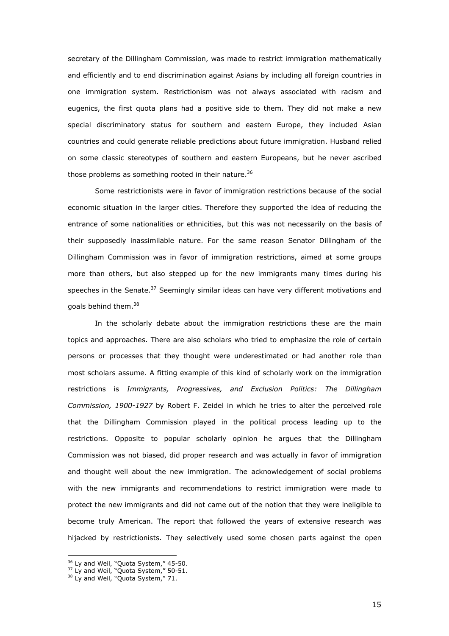secretary of the Dillingham Commission, was made to restrict immigration mathematically and efficiently and to end discrimination against Asians by including all foreign countries in one immigration system. Restrictionism was not always associated with racism and eugenics, the first quota plans had a positive side to them. They did not make a new special discriminatory status for southern and eastern Europe, they included Asian countries and could generate reliable predictions about future immigration. Husband relied on some classic stereotypes of southern and eastern Europeans, but he never ascribed those problems as something rooted in their nature.<sup>36</sup>

 Some restrictionists were in favor of immigration restrictions because of the social economic situation in the larger cities. Therefore they supported the idea of reducing the entrance of some nationalities or ethnicities, but this was not necessarily on the basis of their supposedly inassimilable nature. For the same reason Senator Dillingham of the Dillingham Commission was in favor of immigration restrictions, aimed at some groups more than others, but also stepped up for the new immigrants many times during his speeches in the Senate.<sup>37</sup> Seemingly similar ideas can have very different motivations and goals behind them.<sup>38</sup>

 In the scholarly debate about the immigration restrictions these are the main topics and approaches. There are also scholars who tried to emphasize the role of certain persons or processes that they thought were underestimated or had another role than most scholars assume. A fitting example of this kind of scholarly work on the immigration restrictions is *Immigrants, Progressives, and Exclusion Politics: The Dillingham Commission, 1900-1927* by Robert F. Zeidel in which he tries to alter the perceived role that the Dillingham Commission played in the political process leading up to the restrictions. Opposite to popular scholarly opinion he argues that the Dillingham Commission was not biased, did proper research and was actually in favor of immigration and thought well about the new immigration. The acknowledgement of social problems with the new immigrants and recommendations to restrict immigration were made to protect the new immigrants and did not came out of the notion that they were ineligible to become truly American. The report that followed the years of extensive research was hijacked by restrictionists. They selectively used some chosen parts against the open

<sup>&</sup>lt;sup>36</sup> Ly and Weil, "Quota System," 45-50.

<sup>&</sup>lt;sup>37</sup> Ly and Weil, "Quota System," 50-51.

<sup>&</sup>lt;sup>38</sup> Ly and Weil, "Quota System," 71.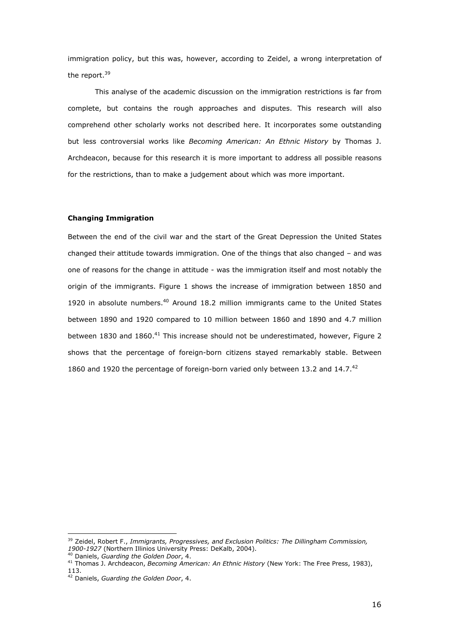immigration policy, but this was, however, according to Zeidel, a wrong interpretation of the report.<sup>39</sup>

This analyse of the academic discussion on the immigration restrictions is far from complete, but contains the rough approaches and disputes. This research will also comprehend other scholarly works not described here. It incorporates some outstanding but less controversial works like *Becoming American: An Ethnic History* by Thomas J. Archdeacon, because for this research it is more important to address all possible reasons for the restrictions, than to make a judgement about which was more important.

### **Changing Immigration**

Between the end of the civil war and the start of the Great Depression the United States changed their attitude towards immigration. One of the things that also changed – and was one of reasons for the change in attitude - was the immigration itself and most notably the origin of the immigrants. Figure 1 shows the increase of immigration between 1850 and 1920 in absolute numbers.<sup>40</sup> Around 18.2 million immigrants came to the United States between 1890 and 1920 compared to 10 million between 1860 and 1890 and 4.7 million between 1830 and 1860.<sup>41</sup> This increase should not be underestimated, however, Figure 2 shows that the percentage of foreign-born citizens stayed remarkably stable. Between 1860 and 1920 the percentage of foreign-born varied only between 13.2 and 14.7.<sup>42</sup>

<sup>&</sup>lt;sup>39</sup> Zeidel, Robert F., *Immigrants, Progressives, and Exclusion Politics: The Dillingham Commission, 1900-1927* (Northern Illinios University Press: DeKalb, 2004).

<sup>40</sup> Daniels, *Guarding the Golden Door*, 4.

<sup>41</sup> Thomas J. Archdeacon, *Becoming American: An Ethnic History* (New York: The Free Press, 1983), 113.

<sup>42</sup> Daniels, *Guarding the Golden Door*, 4.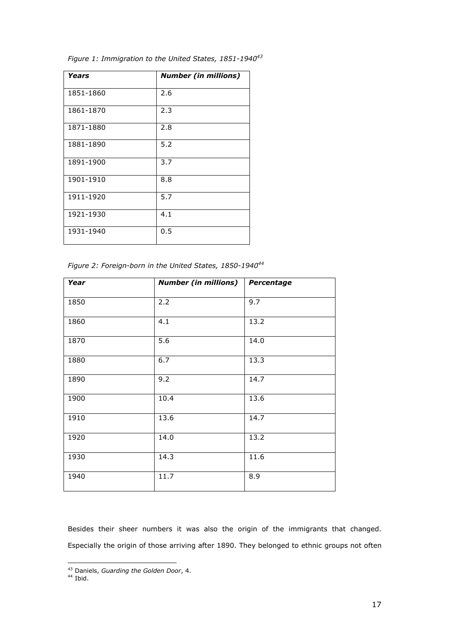| Years     | <b>Number (in millions)</b> |
|-----------|-----------------------------|
| 1851-1860 | 2.6                         |
| 1861-1870 | 2.3                         |
| 1871-1880 | 2.8                         |
| 1881-1890 | 5.2                         |
| 1891-1900 | 3.7                         |
| 1901-1910 | 8.8                         |
| 1911-1920 | 5.7                         |
| 1921-1930 | 4.1                         |
| 1931-1940 | 0.5                         |

*Figure 1: Immigration to the United States, 1851-1940<sup>43</sup>*

*Figure 2: Foreign-born in the United States, 1850-1940<sup>44</sup>*

| Year | <b>Number (in millions)</b> | Percentage       |
|------|-----------------------------|------------------|
| 1850 | 2.2                         | $\overline{9.7}$ |
| 1860 | 4.1                         | 13.2             |
| 1870 | 5.6                         | 14.0             |
| 1880 | 6.7                         | 13.3             |
| 1890 | 9.2                         | 14.7             |
| 1900 | 10.4                        | 13.6             |
| 1910 | 13.6                        | 14.7             |
| 1920 | 14.0                        | 13.2             |
| 1930 | 14.3                        | 11.6             |
| 1940 | 11.7                        | 8.9              |

Besides their sheer numbers it was also the origin of the immigrants that changed. Especially the origin of those arriving after 1890. They belonged to ethnic groups not often

<sup>44</sup> Ibid.

<sup>43</sup> Daniels, *Guarding the Golden Door*, 4.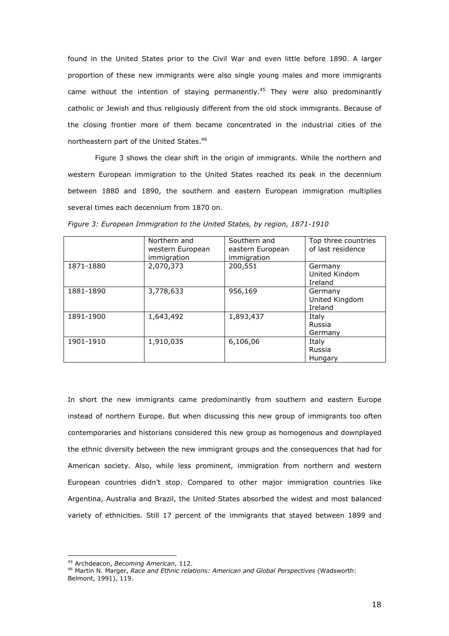found in the United States prior to the Civil War and even little before 1890. A larger proportion of these new immigrants were also single young males and more immigrants came without the intention of staying permanently.<sup>45</sup> They were also predominantly catholic or Jewish and thus religiously different from the old stock immigrants. Because of the closing frontier more of them became concentrated in the industrial cities of the northeastern part of the United States.<sup>46</sup>

Figure 3 shows the clear shift in the origin of immigrants. While the northern and western European immigration to the United States reached its peak in the decennium between 1880 and 1890, the southern and eastern European immigration multiplies several times each decennium from 1870 on.

|           | Northern and<br>western European<br>immigration | Southern and<br>eastern European<br>immigration | Top three countries<br>of last residence |
|-----------|-------------------------------------------------|-------------------------------------------------|------------------------------------------|
| 1871-1880 | 2,070,373                                       | 200,551                                         | Germany<br>United Kindom<br>Ireland      |
| 1881-1890 | 3,778,633                                       | 956,169                                         | Germany<br>United Kingdom<br>Ireland     |
| 1891-1900 | 1,643,492                                       | 1,893,437                                       | Italy<br>Russia<br>Germany               |
| 1901-1910 | 1,910,035                                       | 6,106,06                                        | Italy<br>Russia<br>Hungary               |

*Figure 3: European Immigration to the United States, by region, 1871-1910* 

In short the new immigrants came predominantly from southern and eastern Europe instead of northern Europe. But when discussing this new group of immigrants too often contemporaries and historians considered this new group as homogenous and downplayed the ethnic diversity between the new immigrant groups and the consequences that had for American society. Also, while less prominent, immigration from northern and western European countries didn't stop. Compared to other major immigration countries like Argentina, Australia and Brazil, the United States absorbed the widest and most balanced variety of ethnicities. Still 17 percent of the immigrants that stayed between 1899 and

<sup>45</sup> Archdeacon, *Becoming American*, 112.

<sup>46</sup> Martin N. Marger, *Race and Ethnic relations: American and Global Perspectives* (Wadsworth: Belmont, 1991), 119.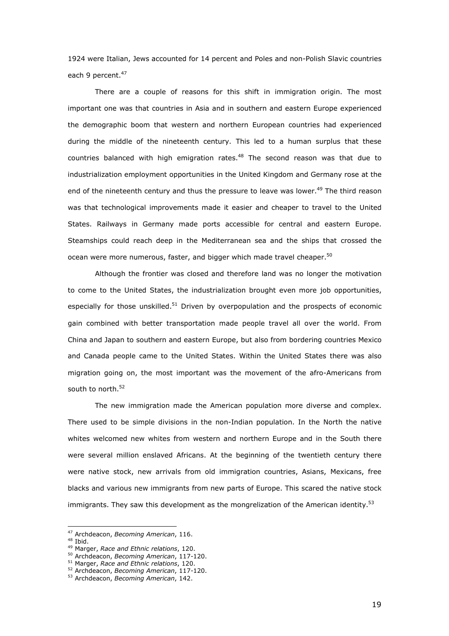1924 were Italian, Jews accounted for 14 percent and Poles and non-Polish Slavic countries each 9 percent.<sup>47</sup>

There are a couple of reasons for this shift in immigration origin. The most important one was that countries in Asia and in southern and eastern Europe experienced the demographic boom that western and northern European countries had experienced during the middle of the nineteenth century. This led to a human surplus that these countries balanced with high emigration rates. $48$  The second reason was that due to industrialization employment opportunities in the United Kingdom and Germany rose at the end of the nineteenth century and thus the pressure to leave was lower.<sup>49</sup> The third reason was that technological improvements made it easier and cheaper to travel to the United States. Railways in Germany made ports accessible for central and eastern Europe. Steamships could reach deep in the Mediterranean sea and the ships that crossed the ocean were more numerous, faster, and bigger which made travel cheaper.<sup>50</sup>

Although the frontier was closed and therefore land was no longer the motivation to come to the United States, the industrialization brought even more job opportunities, especially for those unskilled.<sup>51</sup> Driven by overpopulation and the prospects of economic gain combined with better transportation made people travel all over the world. From China and Japan to southern and eastern Europe, but also from bordering countries Mexico and Canada people came to the United States. Within the United States there was also migration going on, the most important was the movement of the afro-Americans from south to north.<sup>52</sup>

 The new immigration made the American population more diverse and complex. There used to be simple divisions in the non-Indian population. In the North the native whites welcomed new whites from western and northern Europe and in the South there were several million enslaved Africans. At the beginning of the twentieth century there were native stock, new arrivals from old immigration countries, Asians, Mexicans, free blacks and various new immigrants from new parts of Europe. This scared the native stock immigrants. They saw this development as the mongrelization of the American identity. $53$ 

<sup>47</sup> Archdeacon, *Becoming American*, 116.

<sup>48</sup> Ibid.

<sup>49</sup> Marger, *Race and Ethnic relations*, 120.

<sup>50</sup> Archdeacon, *Becoming American*, 117-120.

<sup>51</sup> Marger, *Race and Ethnic relations*, 120.

<sup>52</sup> Archdeacon, *Becoming American*, 117-120.

<sup>53</sup> Archdeacon, *Becoming American*, 142.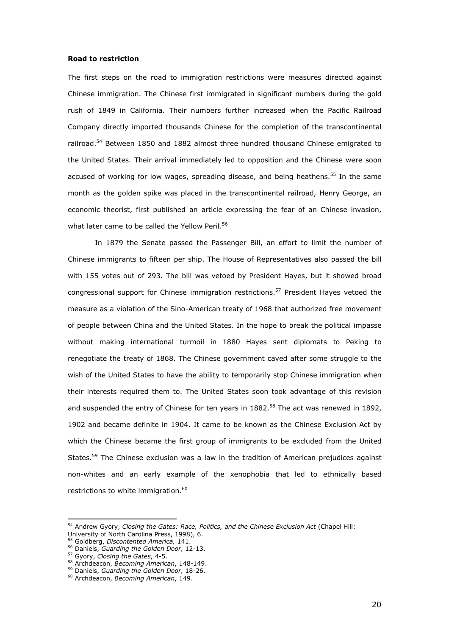#### **Road to restriction**

The first steps on the road to immigration restrictions were measures directed against Chinese immigration. The Chinese first immigrated in significant numbers during the gold rush of 1849 in California. Their numbers further increased when the Pacific Railroad Company directly imported thousands Chinese for the completion of the transcontinental railroad.<sup>54</sup> Between 1850 and 1882 almost three hundred thousand Chinese emigrated to the United States. Their arrival immediately led to opposition and the Chinese were soon accused of working for low wages, spreading disease, and being heathens.<sup>55</sup> In the same month as the golden spike was placed in the transcontinental railroad, Henry George, an economic theorist, first published an article expressing the fear of an Chinese invasion, what later came to be called the Yellow Peril.<sup>56</sup>

In 1879 the Senate passed the Passenger Bill, an effort to limit the number of Chinese immigrants to fifteen per ship. The House of Representatives also passed the bill with 155 votes out of 293. The bill was vetoed by President Hayes, but it showed broad congressional support for Chinese immigration restrictions.<sup>57</sup> President Hayes vetoed the measure as a violation of the Sino-American treaty of 1968 that authorized free movement of people between China and the United States. In the hope to break the political impasse without making international turmoil in 1880 Hayes sent diplomats to Peking to renegotiate the treaty of 1868. The Chinese government caved after some struggle to the wish of the United States to have the ability to temporarily stop Chinese immigration when their interests required them to. The United States soon took advantage of this revision and suspended the entry of Chinese for ten years in  $1882$ .<sup>58</sup> The act was renewed in 1892, 1902 and became definite in 1904. It came to be known as the Chinese Exclusion Act by which the Chinese became the first group of immigrants to be excluded from the United States.<sup>59</sup> The Chinese exclusion was a law in the tradition of American prejudices against non-whites and an early example of the xenophobia that led to ethnically based restrictions to white immigration.<sup>60</sup>

<sup>54</sup> Andrew Gyory, *Closing the Gates: Race, Politics, and the Chinese Exclusion Act* (Chapel Hill: University of North Carolina Press, 1998), 6.

<sup>55</sup> Goldberg, *Discontented America,* 141.

<sup>56</sup> Daniels, *Guarding the Golden Door,* 12-13.

<sup>57</sup> Gyory, *Closing the Gates*, 4-5.

<sup>58</sup> Archdeacon, *Becoming American*, 148-149.

<sup>59</sup> Daniels, *Guarding the Golden Door,* 18-26.

<sup>60</sup> Archdeacon, *Becoming American*, 149.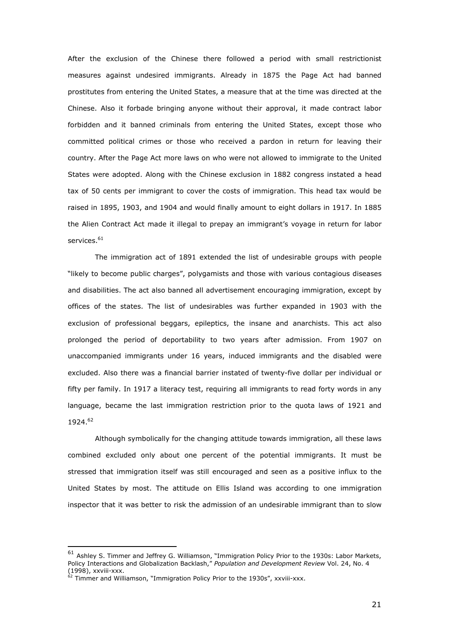After the exclusion of the Chinese there followed a period with small restrictionist measures against undesired immigrants. Already in 1875 the Page Act had banned prostitutes from entering the United States, a measure that at the time was directed at the Chinese. Also it forbade bringing anyone without their approval, it made contract labor forbidden and it banned criminals from entering the United States, except those who committed political crimes or those who received a pardon in return for leaving their country. After the Page Act more laws on who were not allowed to immigrate to the United States were adopted. Along with the Chinese exclusion in 1882 congress instated a head tax of 50 cents per immigrant to cover the costs of immigration. This head tax would be raised in 1895, 1903, and 1904 and would finally amount to eight dollars in 1917. In 1885 the Alien Contract Act made it illegal to prepay an immigrant's voyage in return for labor services.<sup>61</sup>

The immigration act of 1891 extended the list of undesirable groups with people "likely to become public charges", polygamists and those with various contagious diseases and disabilities. The act also banned all advertisement encouraging immigration, except by offices of the states. The list of undesirables was further expanded in 1903 with the exclusion of professional beggars, epileptics, the insane and anarchists. This act also prolonged the period of deportability to two years after admission. From 1907 on unaccompanied immigrants under 16 years, induced immigrants and the disabled were excluded. Also there was a financial barrier instated of twenty-five dollar per individual or fifty per family. In 1917 a literacy test, requiring all immigrants to read forty words in any language, became the last immigration restriction prior to the quota laws of 1921 and 1924.<sup>62</sup>

 Although symbolically for the changing attitude towards immigration, all these laws combined excluded only about one percent of the potential immigrants. It must be stressed that immigration itself was still encouraged and seen as a positive influx to the United States by most. The attitude on Ellis Island was according to one immigration inspector that it was better to risk the admission of an undesirable immigrant than to slow

<sup>61</sup> Ashley S. Timmer and Jeffrey G. Williamson, "Immigration Policy Prior to the 1930s: Labor Markets, Policy Interactions and Globalization Backlash," *Population and Development Review* Vol. 24, No. 4 (1998), xxviii-xxx.

 $62$  Timmer and Williamson, "Immigration Policy Prior to the 1930s", xxviii-xxx.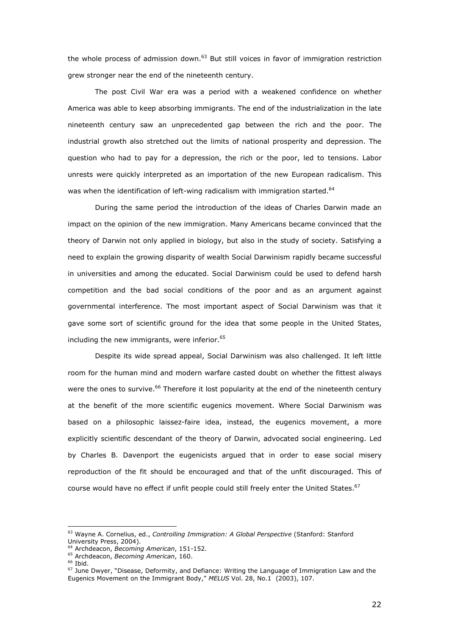the whole process of admission down. $63$  But still voices in favor of immigration restriction grew stronger near the end of the nineteenth century.

The post Civil War era was a period with a weakened confidence on whether America was able to keep absorbing immigrants. The end of the industrialization in the late nineteenth century saw an unprecedented gap between the rich and the poor. The industrial growth also stretched out the limits of national prosperity and depression. The question who had to pay for a depression, the rich or the poor, led to tensions. Labor unrests were quickly interpreted as an importation of the new European radicalism. This was when the identification of left-wing radicalism with immigration started.<sup>64</sup>

 During the same period the introduction of the ideas of Charles Darwin made an impact on the opinion of the new immigration. Many Americans became convinced that the theory of Darwin not only applied in biology, but also in the study of society. Satisfying a need to explain the growing disparity of wealth Social Darwinism rapidly became successful in universities and among the educated. Social Darwinism could be used to defend harsh competition and the bad social conditions of the poor and as an argument against governmental interference. The most important aspect of Social Darwinism was that it gave some sort of scientific ground for the idea that some people in the United States, including the new immigrants, were inferior. $65$ 

 Despite its wide spread appeal, Social Darwinism was also challenged. It left little room for the human mind and modern warfare casted doubt on whether the fittest always were the ones to survive.<sup>66</sup> Therefore it lost popularity at the end of the nineteenth century at the benefit of the more scientific eugenics movement. Where Social Darwinism was based on a philosophic laissez-faire idea, instead, the eugenics movement, a more explicitly scientific descendant of the theory of Darwin, advocated social engineering. Led by Charles B. Davenport the eugenicists argued that in order to ease social misery reproduction of the fit should be encouraged and that of the unfit discouraged. This of course would have no effect if unfit people could still freely enter the United States.<sup>67</sup>

<sup>63</sup> Wayne A. Cornelius, ed., *Controlling Immigration: A Global Perspective* (Stanford: Stanford University Press, 2004).

<sup>64</sup> Archdeacon, *Becoming American*, 151-152.

<sup>65</sup> Archdeacon, *Becoming American*, 160.

 $66$  Ibid.

<sup>67</sup> June Dwyer, "Disease, Deformity, and Defiance: Writing the Language of Immigration Law and the Eugenics Movement on the Immigrant Body," *MELUS* Vol. 28, No.1 (2003), 107.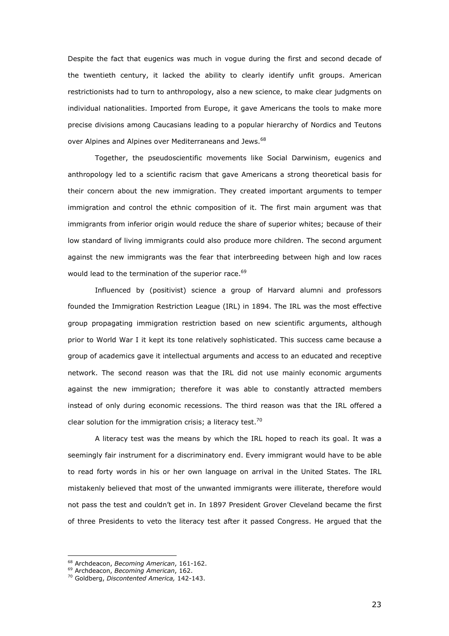Despite the fact that eugenics was much in vogue during the first and second decade of the twentieth century, it lacked the ability to clearly identify unfit groups. American restrictionists had to turn to anthropology, also a new science, to make clear judgments on individual nationalities. Imported from Europe, it gave Americans the tools to make more precise divisions among Caucasians leading to a popular hierarchy of Nordics and Teutons over Alpines and Alpines over Mediterraneans and Jews.<sup>68</sup>

 Together, the pseudoscientific movements like Social Darwinism, eugenics and anthropology led to a scientific racism that gave Americans a strong theoretical basis for their concern about the new immigration. They created important arguments to temper immigration and control the ethnic composition of it. The first main argument was that immigrants from inferior origin would reduce the share of superior whites; because of their low standard of living immigrants could also produce more children. The second argument against the new immigrants was the fear that interbreeding between high and low races would lead to the termination of the superior race.<sup>69</sup>

 Influenced by (positivist) science a group of Harvard alumni and professors founded the Immigration Restriction League (IRL) in 1894. The IRL was the most effective group propagating immigration restriction based on new scientific arguments, although prior to World War I it kept its tone relatively sophisticated. This success came because a group of academics gave it intellectual arguments and access to an educated and receptive network. The second reason was that the IRL did not use mainly economic arguments against the new immigration; therefore it was able to constantly attracted members instead of only during economic recessions. The third reason was that the IRL offered a clear solution for the immigration crisis; a literacy test.<sup>70</sup>

 A literacy test was the means by which the IRL hoped to reach its goal. It was a seemingly fair instrument for a discriminatory end. Every immigrant would have to be able to read forty words in his or her own language on arrival in the United States. The IRL mistakenly believed that most of the unwanted immigrants were illiterate, therefore would not pass the test and couldn't get in. In 1897 President Grover Cleveland became the first of three Presidents to veto the literacy test after it passed Congress. He argued that the

<sup>68</sup> Archdeacon, *Becoming American*, 161-162.

<sup>69</sup> Archdeacon, *Becoming American*, 162.

<sup>70</sup> Goldberg, *Discontented America,* 142-143.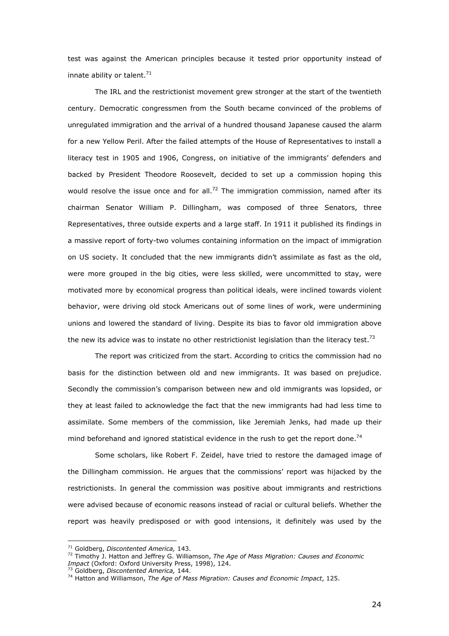test was against the American principles because it tested prior opportunity instead of innate ability or talent. $71$ 

 The IRL and the restrictionist movement grew stronger at the start of the twentieth century. Democratic congressmen from the South became convinced of the problems of unregulated immigration and the arrival of a hundred thousand Japanese caused the alarm for a new Yellow Peril. After the failed attempts of the House of Representatives to install a literacy test in 1905 and 1906, Congress, on initiative of the immigrants' defenders and backed by President Theodore Roosevelt, decided to set up a commission hoping this would resolve the issue once and for all.<sup>72</sup> The immigration commission, named after its chairman Senator William P. Dillingham, was composed of three Senators, three Representatives, three outside experts and a large staff. In 1911 it published its findings in a massive report of forty-two volumes containing information on the impact of immigration on US society. It concluded that the new immigrants didn't assimilate as fast as the old, were more grouped in the big cities, were less skilled, were uncommitted to stay, were motivated more by economical progress than political ideals, were inclined towards violent behavior, were driving old stock Americans out of some lines of work, were undermining unions and lowered the standard of living. Despite its bias to favor old immigration above the new its advice was to instate no other restrictionist legislation than the literacy test.<sup>73</sup>

 The report was criticized from the start. According to critics the commission had no basis for the distinction between old and new immigrants. It was based on prejudice. Secondly the commission's comparison between new and old immigrants was lopsided, or they at least failed to acknowledge the fact that the new immigrants had had less time to assimilate. Some members of the commission, like Jeremiah Jenks, had made up their mind beforehand and ignored statistical evidence in the rush to get the report done.<sup>74</sup>

Some scholars, like Robert F. Zeidel, have tried to restore the damaged image of the Dillingham commission. He argues that the commissions' report was hijacked by the restrictionists. In general the commission was positive about immigrants and restrictions were advised because of economic reasons instead of racial or cultural beliefs. Whether the report was heavily predisposed or with good intensions, it definitely was used by the

<sup>71</sup> Goldberg, *Discontented America,* 143.

<sup>72</sup> Timothy J. Hatton and Jeffrey G. Williamson, *The Age of Mass Migration: Causes and Economic Impact* (Oxford: Oxford University Press, 1998), 124.

<sup>73</sup> Goldberg, *Discontented America,* 144.

<sup>74</sup> Hatton and Williamson, *The Age of Mass Migration: Causes and Economic Impact*, 125.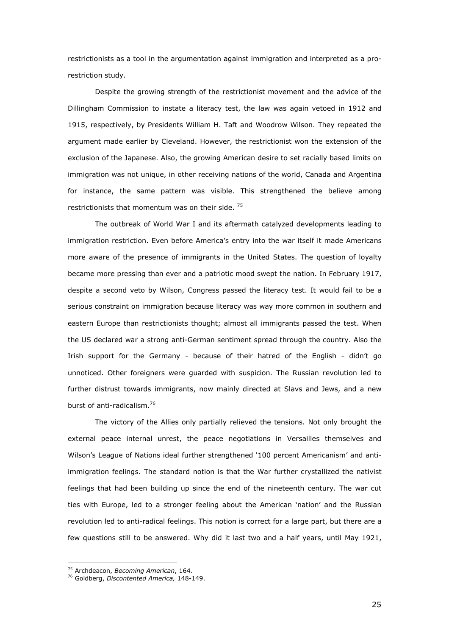restrictionists as a tool in the argumentation against immigration and interpreted as a prorestriction study.

Despite the growing strength of the restrictionist movement and the advice of the Dillingham Commission to instate a literacy test, the law was again vetoed in 1912 and 1915, respectively, by Presidents William H. Taft and Woodrow Wilson. They repeated the argument made earlier by Cleveland. However, the restrictionist won the extension of the exclusion of the Japanese. Also, the growing American desire to set racially based limits on immigration was not unique, in other receiving nations of the world, Canada and Argentina for instance, the same pattern was visible. This strengthened the believe among restrictionists that momentum was on their side.<sup>75</sup>

The outbreak of World War I and its aftermath catalyzed developments leading to immigration restriction. Even before America's entry into the war itself it made Americans more aware of the presence of immigrants in the United States. The question of loyalty became more pressing than ever and a patriotic mood swept the nation. In February 1917, despite a second veto by Wilson, Congress passed the literacy test. It would fail to be a serious constraint on immigration because literacy was way more common in southern and eastern Europe than restrictionists thought; almost all immigrants passed the test. When the US declared war a strong anti-German sentiment spread through the country. Also the Irish support for the Germany - because of their hatred of the English - didn't go unnoticed. Other foreigners were guarded with suspicion. The Russian revolution led to further distrust towards immigrants, now mainly directed at Slavs and Jews, and a new burst of anti-radicalism.<sup>76</sup>

The victory of the Allies only partially relieved the tensions. Not only brought the external peace internal unrest, the peace negotiations in Versailles themselves and Wilson's League of Nations ideal further strengthened '100 percent Americanism' and antiimmigration feelings. The standard notion is that the War further crystallized the nativist feelings that had been building up since the end of the nineteenth century. The war cut ties with Europe, led to a stronger feeling about the American 'nation' and the Russian revolution led to anti-radical feelings. This notion is correct for a large part, but there are a few questions still to be answered. Why did it last two and a half years, until May 1921,

<sup>75</sup> Archdeacon, *Becoming American*, 164.

<sup>76</sup> Goldberg, *Discontented America,* 148-149.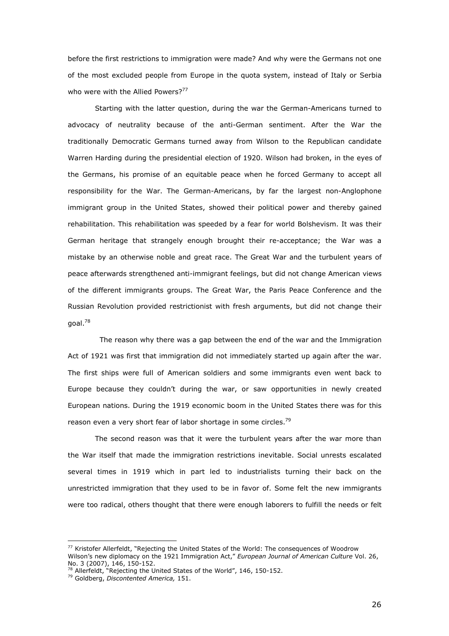before the first restrictions to immigration were made? And why were the Germans not one of the most excluded people from Europe in the quota system, instead of Italy or Serbia who were with the Allied Powers?<sup>77</sup>

Starting with the latter question, during the war the German-Americans turned to advocacy of neutrality because of the anti-German sentiment. After the War the traditionally Democratic Germans turned away from Wilson to the Republican candidate Warren Harding during the presidential election of 1920. Wilson had broken, in the eyes of the Germans, his promise of an equitable peace when he forced Germany to accept all responsibility for the War. The German-Americans, by far the largest non-Anglophone immigrant group in the United States, showed their political power and thereby gained rehabilitation. This rehabilitation was speeded by a fear for world Bolshevism. It was their German heritage that strangely enough brought their re-acceptance; the War was a mistake by an otherwise noble and great race. The Great War and the turbulent years of peace afterwards strengthened anti-immigrant feelings, but did not change American views of the different immigrants groups. The Great War, the Paris Peace Conference and the Russian Revolution provided restrictionist with fresh arguments, but did not change their goal.<sup>78</sup>

 The reason why there was a gap between the end of the war and the Immigration Act of 1921 was first that immigration did not immediately started up again after the war. The first ships were full of American soldiers and some immigrants even went back to Europe because they couldn't during the war, or saw opportunities in newly created European nations. During the 1919 economic boom in the United States there was for this reason even a very short fear of labor shortage in some circles.<sup>79</sup>

The second reason was that it were the turbulent years after the war more than the War itself that made the immigration restrictions inevitable. Social unrests escalated several times in 1919 which in part led to industrialists turning their back on the unrestricted immigration that they used to be in favor of. Some felt the new immigrants were too radical, others thought that there were enough laborers to fulfill the needs or felt

<sup>77</sup> Kristofer Allerfeldt, "Rejecting the United States of the World: The consequences of Woodrow Wilson's new diplomacy on the 1921 Immigration Act," *European Journal of American Culture* Vol. 26, No. 3 (2007), 146, 150-152.

<sup>&</sup>lt;sup>78</sup> Allerfeldt, "Rejecting the United States of the World", 146, 150-152.

<sup>79</sup> Goldberg, *Discontented America,* 151.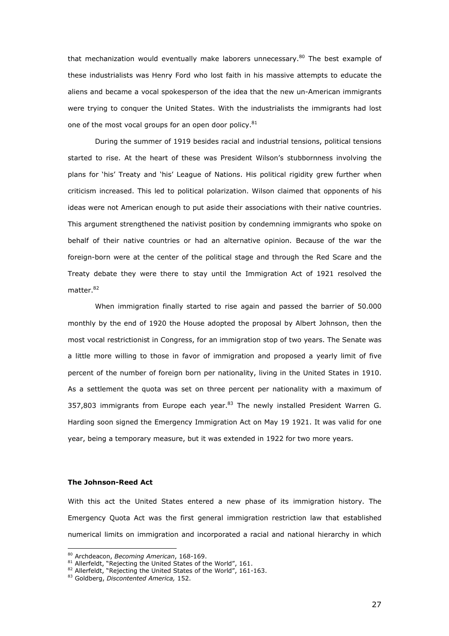that mechanization would eventually make laborers unnecessary. $80$  The best example of these industrialists was Henry Ford who lost faith in his massive attempts to educate the aliens and became a vocal spokesperson of the idea that the new un-American immigrants were trying to conquer the United States. With the industrialists the immigrants had lost one of the most vocal groups for an open door policy. $81$ 

During the summer of 1919 besides racial and industrial tensions, political tensions started to rise. At the heart of these was President Wilson's stubbornness involving the plans for 'his' Treaty and 'his' League of Nations. His political rigidity grew further when criticism increased. This led to political polarization. Wilson claimed that opponents of his ideas were not American enough to put aside their associations with their native countries. This argument strengthened the nativist position by condemning immigrants who spoke on behalf of their native countries or had an alternative opinion. Because of the war the foreign-born were at the center of the political stage and through the Red Scare and the Treaty debate they were there to stay until the Immigration Act of 1921 resolved the matter.<sup>82</sup>

 When immigration finally started to rise again and passed the barrier of 50.000 monthly by the end of 1920 the House adopted the proposal by Albert Johnson, then the most vocal restrictionist in Congress, for an immigration stop of two years. The Senate was a little more willing to those in favor of immigration and proposed a yearly limit of five percent of the number of foreign born per nationality, living in the United States in 1910. As a settlement the quota was set on three percent per nationality with a maximum of 357,803 immigrants from Europe each year. $83$  The newly installed President Warren G. Harding soon signed the Emergency Immigration Act on May 19 1921. It was valid for one year, being a temporary measure, but it was extended in 1922 for two more years.

## **The Johnson-Reed Act**

ł

With this act the United States entered a new phase of its immigration history. The Emergency Quota Act was the first general immigration restriction law that established numerical limits on immigration and incorporated a racial and national hierarchy in which

<sup>80</sup> Archdeacon, *Becoming American*, 168-169.

 $81$  Allerfeldt, "Rejecting the United States of the World", 161.

 $82$  Allerfeldt, "Rejecting the United States of the World", 161-163.

<sup>83</sup> Goldberg, *Discontented America,* 152.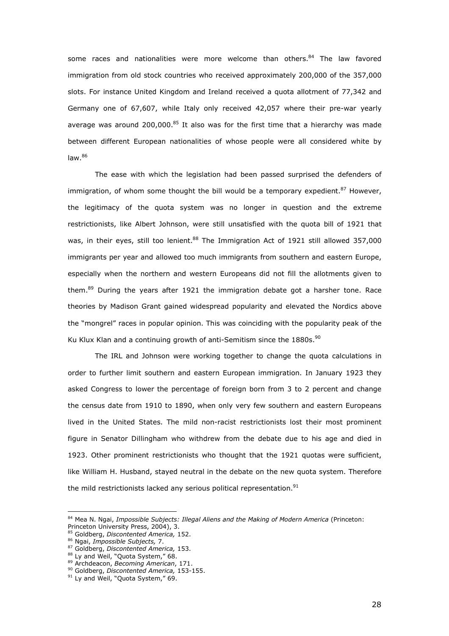some races and nationalities were more welcome than others.<sup>84</sup> The law favored immigration from old stock countries who received approximately 200,000 of the 357,000 slots. For instance United Kingdom and Ireland received a quota allotment of 77,342 and Germany one of 67,607, while Italy only received 42,057 where their pre-war yearly average was around 200,000.<sup>85</sup> It also was for the first time that a hierarchy was made between different European nationalities of whose people were all considered white by  $law<sup>86</sup>$ 

The ease with which the legislation had been passed surprised the defenders of immigration, of whom some thought the bill would be a temporary expedient. $87$  However, the legitimacy of the quota system was no longer in question and the extreme restrictionists, like Albert Johnson, were still unsatisfied with the quota bill of 1921 that was, in their eyes, still too lenient.<sup>88</sup> The Immigration Act of 1921 still allowed 357,000 immigrants per year and allowed too much immigrants from southern and eastern Europe, especially when the northern and western Europeans did not fill the allotments given to them.<sup>89</sup> During the years after 1921 the immigration debate got a harsher tone. Race theories by Madison Grant gained widespread popularity and elevated the Nordics above the "mongrel" races in popular opinion. This was coinciding with the popularity peak of the Ku Klux Klan and a continuing growth of anti-Semitism since the  $1880$ s.<sup>90</sup>

 The IRL and Johnson were working together to change the quota calculations in order to further limit southern and eastern European immigration. In January 1923 they asked Congress to lower the percentage of foreign born from 3 to 2 percent and change the census date from 1910 to 1890, when only very few southern and eastern Europeans lived in the United States. The mild non-racist restrictionists lost their most prominent figure in Senator Dillingham who withdrew from the debate due to his age and died in 1923. Other prominent restrictionists who thought that the 1921 quotas were sufficient, like William H. Husband, stayed neutral in the debate on the new quota system. Therefore the mild restrictionists lacked any serious political representation. $91$ 

<sup>84</sup> Mea N. Ngai, *Impossible Subjects: Illegal Aliens and the Making of Modern America* (Princeton:

Princeton University Press, 2004), 3.

<sup>85</sup> Goldberg, *Discontented America,* 152.

<sup>86</sup> Ngai, *Impossible Subjects,* 7.

<sup>87</sup> Goldberg, *Discontented America,* 153.

<sup>&</sup>lt;sup>88</sup> Ly and Weil, "Quota System," 68.

<sup>89</sup> Archdeacon, *Becoming American*, 171.

<sup>90</sup> Goldberg, *Discontented America,* 153-155.

<sup>&</sup>lt;sup>91</sup> Ly and Weil, "Quota System," 69.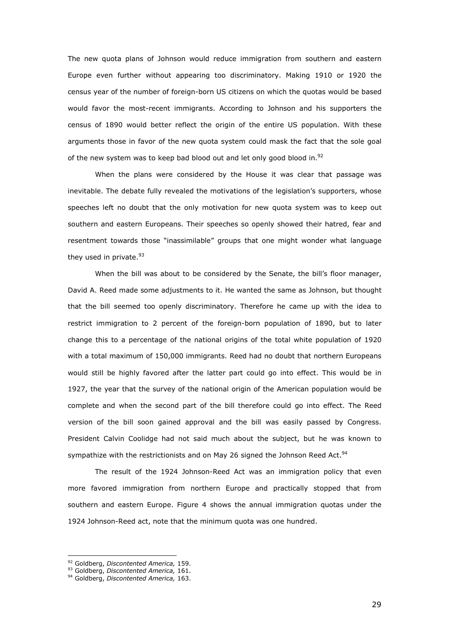The new quota plans of Johnson would reduce immigration from southern and eastern Europe even further without appearing too discriminatory. Making 1910 or 1920 the census year of the number of foreign-born US citizens on which the quotas would be based would favor the most-recent immigrants. According to Johnson and his supporters the census of 1890 would better reflect the origin of the entire US population. With these arguments those in favor of the new quota system could mask the fact that the sole goal of the new system was to keep bad blood out and let only good blood in.<sup>92</sup>

 When the plans were considered by the House it was clear that passage was inevitable. The debate fully revealed the motivations of the legislation's supporters, whose speeches left no doubt that the only motivation for new quota system was to keep out southern and eastern Europeans. Their speeches so openly showed their hatred, fear and resentment towards those "inassimilable" groups that one might wonder what language they used in private.<sup>93</sup>

When the bill was about to be considered by the Senate, the bill's floor manager, David A. Reed made some adjustments to it. He wanted the same as Johnson, but thought that the bill seemed too openly discriminatory. Therefore he came up with the idea to restrict immigration to 2 percent of the foreign-born population of 1890, but to later change this to a percentage of the national origins of the total white population of 1920 with a total maximum of 150,000 immigrants. Reed had no doubt that northern Europeans would still be highly favored after the latter part could go into effect. This would be in 1927, the year that the survey of the national origin of the American population would be complete and when the second part of the bill therefore could go into effect. The Reed version of the bill soon gained approval and the bill was easily passed by Congress. President Calvin Coolidge had not said much about the subject, but he was known to sympathize with the restrictionists and on May 26 signed the Johnson Reed Act.<sup>94</sup>

The result of the 1924 Johnson-Reed Act was an immigration policy that even more favored immigration from northern Europe and practically stopped that from southern and eastern Europe. Figure 4 shows the annual immigration quotas under the 1924 Johnson-Reed act, note that the minimum quota was one hundred.

ł

29

<sup>92</sup> Goldberg, *Discontented America,* 159.

<sup>93</sup> Goldberg, *Discontented America,* 161.

<sup>94</sup> Goldberg, *Discontented America,* 163.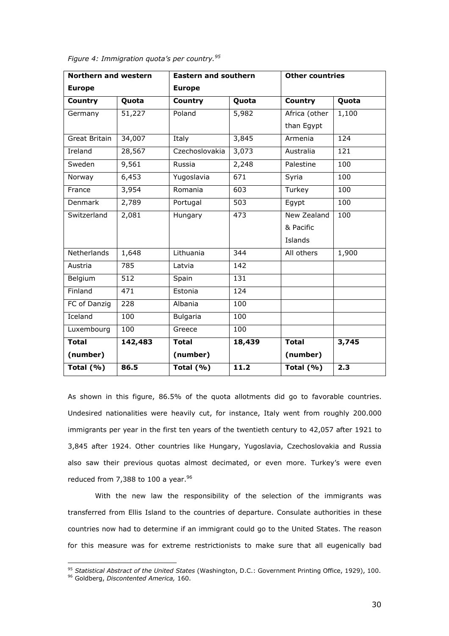| <b>Northern and western</b> | <b>Eastern and southern</b> |                 | <b>Other countries</b> |               |       |
|-----------------------------|-----------------------------|-----------------|------------------------|---------------|-------|
| <b>Europe</b>               |                             | <b>Europe</b>   |                        |               |       |
| <b>Country</b>              | Quota                       | Country         | Quota                  | Country       | Quota |
| Germany                     | 51,227                      | Poland          | 5,982                  | Africa (other | 1,100 |
|                             |                             |                 |                        | than Egypt    |       |
| Great Britain               | 34,007                      | Italy           | 3,845                  | Armenia       | 124   |
| Ireland                     | 28,567                      | Czechoslovakia  | 3,073                  | Australia     | 121   |
| Sweden                      | 9,561                       | Russia          | 2,248                  | Palestine     | 100   |
| Norway                      | 6,453                       | Yugoslavia      | $\overline{671}$       | Syria         | 100   |
| France                      | 3,954                       | Romania         | 603                    | Turkey        | 100   |
| Denmark                     | 2,789                       | Portugal        | 503                    | Egypt         | 100   |
| Switzerland                 | 2,081                       | Hungary         | 473                    | New Zealand   | 100   |
|                             |                             |                 |                        | & Pacific     |       |
|                             |                             |                 |                        | Islands       |       |
| Netherlands                 | 1,648                       | Lithuania       | 344                    | All others    | 1,900 |
| Austria                     | 785                         | Latvia          | 142                    |               |       |
| Belgium                     | 512                         | Spain           | 131                    |               |       |
| Finland                     | 471                         | Estonia         | 124                    |               |       |
| FC of Danzig                | $\overline{228}$            | Albania         | 100                    |               |       |
| Iceland                     | 100                         | <b>Bulgaria</b> | 100                    |               |       |
| Luxembourg                  | 100                         | Greece          | 100                    |               |       |
| <b>Total</b>                | 142,483                     | <b>Total</b>    | 18,439                 | <b>Total</b>  | 3,745 |
| (number)                    |                             | (number)        |                        | (number)      |       |
| Total $(% )$                | 86.5                        | Total $(% )$    | 11.2                   | Total $(% )$  | 2.3   |

*Figure 4: Immigration quota's per country.<sup>95</sup>*

As shown in this figure, 86.5% of the quota allotments did go to favorable countries. Undesired nationalities were heavily cut, for instance, Italy went from roughly 200.000 immigrants per year in the first ten years of the twentieth century to 42,057 after 1921 to 3,845 after 1924. Other countries like Hungary, Yugoslavia, Czechoslovakia and Russia also saw their previous quotas almost decimated, or even more. Turkey's were even reduced from 7,388 to 100 a year.  $96$ 

 With the new law the responsibility of the selection of the immigrants was transferred from Ellis Island to the countries of departure. Consulate authorities in these countries now had to determine if an immigrant could go to the United States. The reason for this measure was for extreme restrictionists to make sure that all eugenically bad

<sup>95</sup> *Statistical Abstract of the United States* (Washington, D.C.: Government Printing Office, 1929), 100.

<sup>96</sup> Goldberg, *Discontented America,* 160.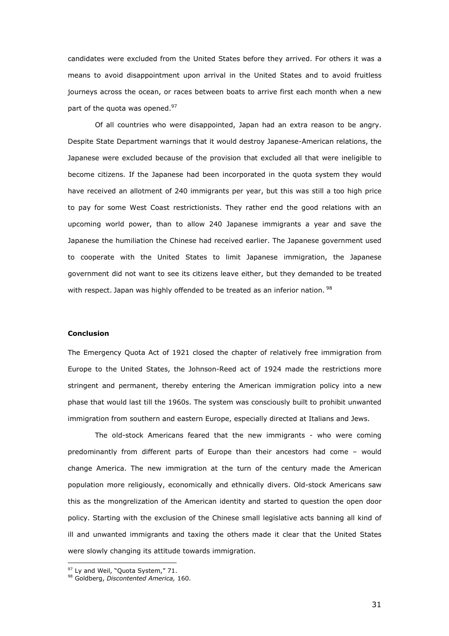candidates were excluded from the United States before they arrived. For others it was a means to avoid disappointment upon arrival in the United States and to avoid fruitless journeys across the ocean, or races between boats to arrive first each month when a new part of the quota was opened.<sup>97</sup>

 Of all countries who were disappointed, Japan had an extra reason to be angry. Despite State Department warnings that it would destroy Japanese-American relations, the Japanese were excluded because of the provision that excluded all that were ineligible to become citizens. If the Japanese had been incorporated in the quota system they would have received an allotment of 240 immigrants per year, but this was still a too high price to pay for some West Coast restrictionists. They rather end the good relations with an upcoming world power, than to allow 240 Japanese immigrants a year and save the Japanese the humiliation the Chinese had received earlier. The Japanese government used to cooperate with the United States to limit Japanese immigration, the Japanese government did not want to see its citizens leave either, but they demanded to be treated with respect. Japan was highly offended to be treated as an inferior nation. <sup>98</sup>

# **Conclusion**

The Emergency Quota Act of 1921 closed the chapter of relatively free immigration from Europe to the United States, the Johnson-Reed act of 1924 made the restrictions more stringent and permanent, thereby entering the American immigration policy into a new phase that would last till the 1960s. The system was consciously built to prohibit unwanted immigration from southern and eastern Europe, especially directed at Italians and Jews.

 The old-stock Americans feared that the new immigrants - who were coming predominantly from different parts of Europe than their ancestors had come – would change America. The new immigration at the turn of the century made the American population more religiously, economically and ethnically divers. Old-stock Americans saw this as the mongrelization of the American identity and started to question the open door policy. Starting with the exclusion of the Chinese small legislative acts banning all kind of ill and unwanted immigrants and taxing the others made it clear that the United States were slowly changing its attitude towards immigration.

<sup>&</sup>lt;sup>97</sup> Ly and Weil, "Quota System," 71.

<sup>98</sup> Goldberg, *Discontented America,* 160.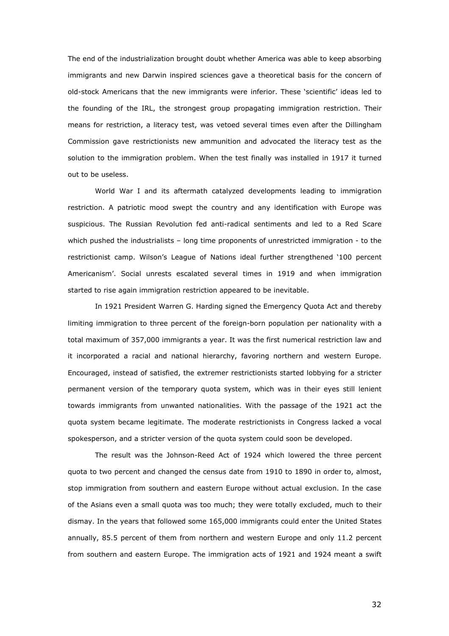The end of the industrialization brought doubt whether America was able to keep absorbing immigrants and new Darwin inspired sciences gave a theoretical basis for the concern of old-stock Americans that the new immigrants were inferior. These 'scientific' ideas led to the founding of the IRL, the strongest group propagating immigration restriction. Their means for restriction, a literacy test, was vetoed several times even after the Dillingham Commission gave restrictionists new ammunition and advocated the literacy test as the solution to the immigration problem. When the test finally was installed in 1917 it turned out to be useless.

 World War I and its aftermath catalyzed developments leading to immigration restriction. A patriotic mood swept the country and any identification with Europe was suspicious. The Russian Revolution fed anti-radical sentiments and led to a Red Scare which pushed the industrialists – long time proponents of unrestricted immigration - to the restrictionist camp. Wilson's League of Nations ideal further strengthened '100 percent Americanism'. Social unrests escalated several times in 1919 and when immigration started to rise again immigration restriction appeared to be inevitable.

 In 1921 President Warren G. Harding signed the Emergency Quota Act and thereby limiting immigration to three percent of the foreign-born population per nationality with a total maximum of 357,000 immigrants a year. It was the first numerical restriction law and it incorporated a racial and national hierarchy, favoring northern and western Europe. Encouraged, instead of satisfied, the extremer restrictionists started lobbying for a stricter permanent version of the temporary quota system, which was in their eyes still lenient towards immigrants from unwanted nationalities. With the passage of the 1921 act the quota system became legitimate. The moderate restrictionists in Congress lacked a vocal spokesperson, and a stricter version of the quota system could soon be developed.

 The result was the Johnson-Reed Act of 1924 which lowered the three percent quota to two percent and changed the census date from 1910 to 1890 in order to, almost, stop immigration from southern and eastern Europe without actual exclusion. In the case of the Asians even a small quota was too much; they were totally excluded, much to their dismay. In the years that followed some 165,000 immigrants could enter the United States annually, 85.5 percent of them from northern and western Europe and only 11.2 percent from southern and eastern Europe. The immigration acts of 1921 and 1924 meant a swift

32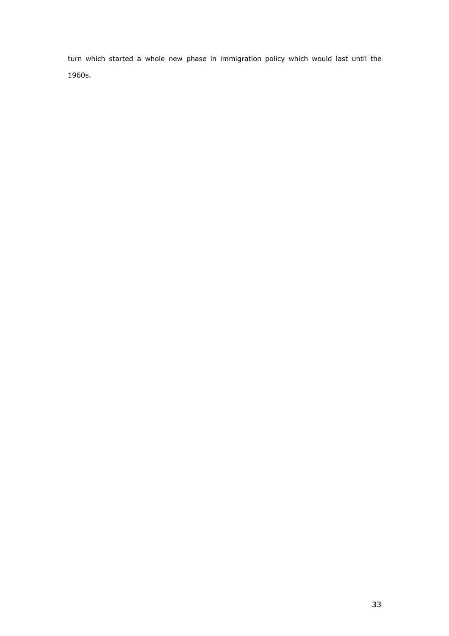turn which started a whole new phase in immigration policy which would last until the 1960s.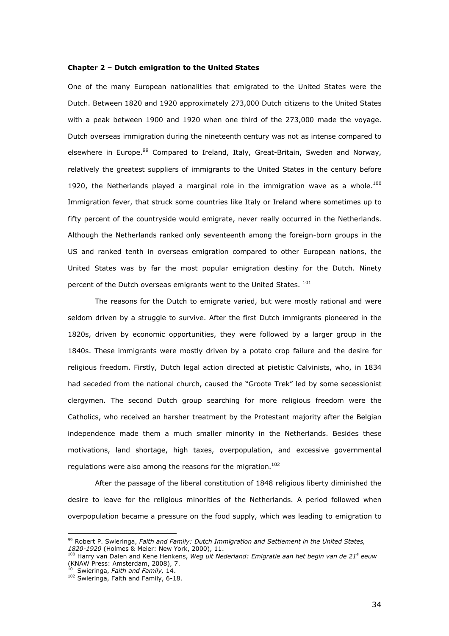### **Chapter 2 – Dutch emigration to the United States**

One of the many European nationalities that emigrated to the United States were the Dutch. Between 1820 and 1920 approximately 273,000 Dutch citizens to the United States with a peak between 1900 and 1920 when one third of the 273,000 made the voyage. Dutch overseas immigration during the nineteenth century was not as intense compared to elsewhere in Europe.<sup>99</sup> Compared to Ireland, Italy, Great-Britain, Sweden and Norway, relatively the greatest suppliers of immigrants to the United States in the century before 1920, the Netherlands played a marginal role in the immigration wave as a whole. $100$ Immigration fever, that struck some countries like Italy or Ireland where sometimes up to fifty percent of the countryside would emigrate, never really occurred in the Netherlands. Although the Netherlands ranked only seventeenth among the foreign-born groups in the US and ranked tenth in overseas emigration compared to other European nations, the United States was by far the most popular emigration destiny for the Dutch. Ninety percent of the Dutch overseas emigrants went to the United States.  $^{101}$ 

The reasons for the Dutch to emigrate varied, but were mostly rational and were seldom driven by a struggle to survive. After the first Dutch immigrants pioneered in the 1820s, driven by economic opportunities, they were followed by a larger group in the 1840s. These immigrants were mostly driven by a potato crop failure and the desire for religious freedom. Firstly, Dutch legal action directed at pietistic Calvinists, who, in 1834 had seceded from the national church, caused the "Groote Trek" led by some secessionist clergymen. The second Dutch group searching for more religious freedom were the Catholics, who received an harsher treatment by the Protestant majority after the Belgian independence made them a much smaller minority in the Netherlands. Besides these motivations, land shortage, high taxes, overpopulation, and excessive governmental regulations were also among the reasons for the migration.<sup>102</sup>

After the passage of the liberal constitution of 1848 religious liberty diminished the desire to leave for the religious minorities of the Netherlands. A period followed when overpopulation became a pressure on the food supply, which was leading to emigration to

<sup>99</sup> Robert P. Swieringa, *Faith and Family: Dutch Immigration and Settlement in the United States, 1820-1920* (Holmes & Meier: New York, 2000), 11.

<sup>&</sup>lt;sup>100</sup> Harry van Dalen and Kene Henkens, *Weg uit Nederland: Emigratie aan het begin van de 21<sup>e</sup> eeuw* (KNAW Press: Amsterdam, 2008), 7.

<sup>101</sup> Swieringa, *Faith and Family,* 14.

<sup>&</sup>lt;sup>102</sup> Swieringa, Faith and Family, 6-18.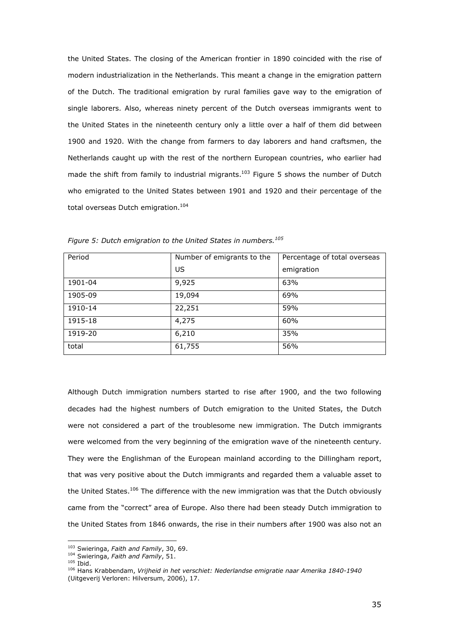the United States. The closing of the American frontier in 1890 coincided with the rise of modern industrialization in the Netherlands. This meant a change in the emigration pattern of the Dutch. The traditional emigration by rural families gave way to the emigration of single laborers. Also, whereas ninety percent of the Dutch overseas immigrants went to the United States in the nineteenth century only a little over a half of them did between 1900 and 1920. With the change from farmers to day laborers and hand craftsmen, the Netherlands caught up with the rest of the northern European countries, who earlier had made the shift from family to industrial migrants.<sup>103</sup> Figure 5 shows the number of Dutch who emigrated to the United States between 1901 and 1920 and their percentage of the total overseas Dutch emigration.<sup>104</sup>

| Period  | Number of emigrants to the | Percentage of total overseas |
|---------|----------------------------|------------------------------|
|         | US                         | emigration                   |
| 1901-04 | 9,925                      | 63%                          |
| 1905-09 | 19,094                     | 69%                          |
| 1910-14 | 22,251                     | 59%                          |
| 1915-18 | 4,275                      | 60%                          |
| 1919-20 | 6,210                      | 35%                          |
| total   | 61,755                     | 56%                          |

*Figure 5: Dutch emigration to the United States in numbers.<sup>105</sup>*

Although Dutch immigration numbers started to rise after 1900, and the two following decades had the highest numbers of Dutch emigration to the United States, the Dutch were not considered a part of the troublesome new immigration. The Dutch immigrants were welcomed from the very beginning of the emigration wave of the nineteenth century. They were the Englishman of the European mainland according to the Dillingham report, that was very positive about the Dutch immigrants and regarded them a valuable asset to the United States.<sup>106</sup> The difference with the new immigration was that the Dutch obviously came from the "correct" area of Europe. Also there had been steady Dutch immigration to the United States from 1846 onwards, the rise in their numbers after 1900 was also not an

<sup>103</sup> Swieringa, *Faith and Family*, 30, 69.

<sup>104</sup> Swieringa, *Faith and Family*, 51.

 $105$  Ibid.

<sup>106</sup> Hans Krabbendam, *Vrijheid in het verschiet: Nederlandse emigratie naar Amerika 1840-1940* (Uitgeverij Verloren: Hilversum, 2006), 17.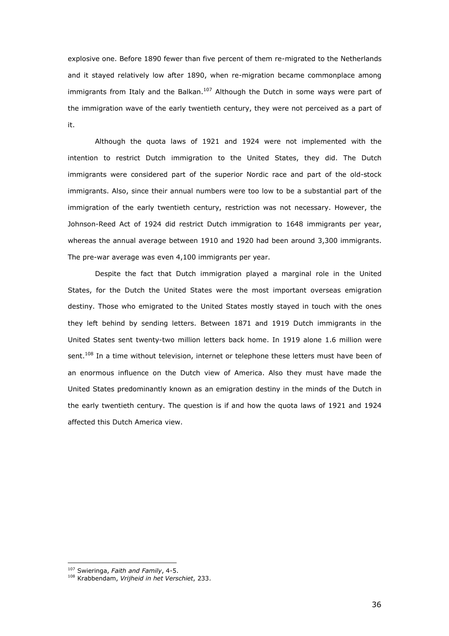explosive one. Before 1890 fewer than five percent of them re-migrated to the Netherlands and it stayed relatively low after 1890, when re-migration became commonplace among immigrants from Italy and the Balkan.<sup>107</sup> Although the Dutch in some ways were part of the immigration wave of the early twentieth century, they were not perceived as a part of it.

Although the quota laws of 1921 and 1924 were not implemented with the intention to restrict Dutch immigration to the United States, they did. The Dutch immigrants were considered part of the superior Nordic race and part of the old-stock immigrants. Also, since their annual numbers were too low to be a substantial part of the immigration of the early twentieth century, restriction was not necessary. However, the Johnson-Reed Act of 1924 did restrict Dutch immigration to 1648 immigrants per year, whereas the annual average between 1910 and 1920 had been around 3,300 immigrants. The pre-war average was even 4,100 immigrants per year.

Despite the fact that Dutch immigration played a marginal role in the United States, for the Dutch the United States were the most important overseas emigration destiny. Those who emigrated to the United States mostly stayed in touch with the ones they left behind by sending letters. Between 1871 and 1919 Dutch immigrants in the United States sent twenty-two million letters back home. In 1919 alone 1.6 million were sent.<sup>108</sup> In a time without television, internet or telephone these letters must have been of an enormous influence on the Dutch view of America. Also they must have made the United States predominantly known as an emigration destiny in the minds of the Dutch in the early twentieth century. The question is if and how the quota laws of 1921 and 1924 affected this Dutch America view.

<sup>107</sup> Swieringa, *Faith and Family*, 4-5.

<sup>108</sup> Krabbendam, *Vrijheid in het Verschiet*, 233.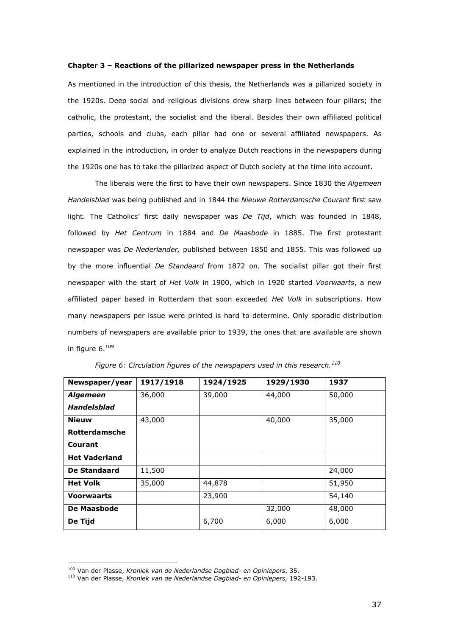#### **Chapter 3 – Reactions of the pillarized newspaper press in the Netherlands**

As mentioned in the introduction of this thesis, the Netherlands was a pillarized society in the 1920s. Deep social and religious divisions drew sharp lines between four pillars; the catholic, the protestant, the socialist and the liberal. Besides their own affiliated political parties, schools and clubs, each pillar had one or several affiliated newspapers. As explained in the introduction, in order to analyze Dutch reactions in the newspapers during the 1920s one has to take the pillarized aspect of Dutch society at the time into account.

 The liberals were the first to have their own newspapers. Since 1830 the *Algemeen Handelsblad* was being published and in 1844 the *Nieuwe Rotterdamsche Courant* first saw light. The Catholics' first daily newspaper was *De Tijd*, which was founded in 1848, followed by *Het Centrum* in 1884 and *De Maasbode* in 1885. The first protestant newspaper was *De Nederlander,* published between 1850 and 1855. This was followed up by the more influential *De Standaard* from 1872 on. The socialist pillar got their first newspaper with the start of *Het Volk* in 1900, which in 1920 started *Voorwaarts*, a new affiliated paper based in Rotterdam that soon exceeded *Het Volk* in subscriptions. How many newspapers per issue were printed is hard to determine. Only sporadic distribution numbers of newspapers are available prior to 1939, the ones that are available are shown in figure 6.109

| Newspaper/year       | 1917/1918 | 1924/1925 | 1929/1930 | 1937   |
|----------------------|-----------|-----------|-----------|--------|
| <b>Algemeen</b>      | 36,000    | 39,000    | 44,000    | 50,000 |
| <b>Handelsblad</b>   |           |           |           |        |
| <b>Nieuw</b>         | 43,000    |           | 40,000    | 35,000 |
| <b>Rotterdamsche</b> |           |           |           |        |
| Courant              |           |           |           |        |
| <b>Het Vaderland</b> |           |           |           |        |
| De Standaard         | 11,500    |           |           | 24,000 |
| <b>Het Volk</b>      | 35,000    | 44,878    |           | 51,950 |
| <b>Voorwaarts</b>    |           | 23,900    |           | 54,140 |
| <b>De Maasbode</b>   |           |           | 32,000    | 48,000 |
| De Tijd              |           | 6,700     | 6,000     | 6,000  |

*Figure 6: Circulation figures of the newspapers used in this research.<sup>110</sup>*

<sup>109</sup> Van der Plasse, *Kroniek van de Nederlandse Dagblad- en Opiniepers*, 35.

<sup>110</sup> Van der Plasse, *Kroniek van de Nederlandse Dagblad- en Opiniepers,* 192-193.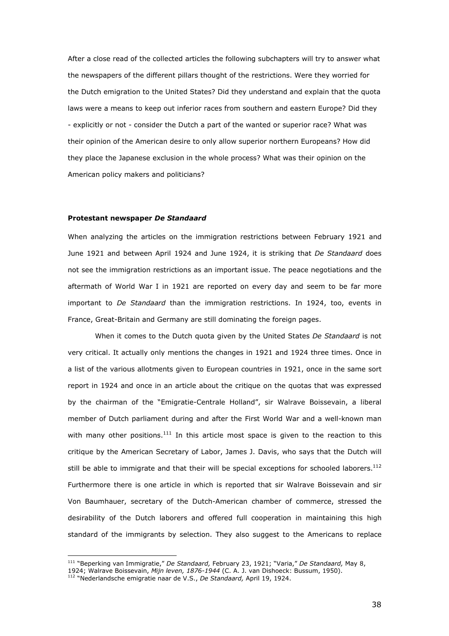After a close read of the collected articles the following subchapters will try to answer what the newspapers of the different pillars thought of the restrictions. Were they worried for the Dutch emigration to the United States? Did they understand and explain that the quota laws were a means to keep out inferior races from southern and eastern Europe? Did they - explicitly or not - consider the Dutch a part of the wanted or superior race? What was their opinion of the American desire to only allow superior northern Europeans? How did they place the Japanese exclusion in the whole process? What was their opinion on the American policy makers and politicians?

#### **Protestant newspaper** *De Standaard*

When analyzing the articles on the immigration restrictions between February 1921 and June 1921 and between April 1924 and June 1924, it is striking that *De Standaard* does not see the immigration restrictions as an important issue. The peace negotiations and the aftermath of World War I in 1921 are reported on every day and seem to be far more important to *De Standaard* than the immigration restrictions. In 1924, too, events in France, Great-Britain and Germany are still dominating the foreign pages.

 When it comes to the Dutch quota given by the United States *De Standaard* is not very critical. It actually only mentions the changes in 1921 and 1924 three times. Once in a list of the various allotments given to European countries in 1921, once in the same sort report in 1924 and once in an article about the critique on the quotas that was expressed by the chairman of the "Emigratie-Centrale Holland", sir Walrave Boissevain, a liberal member of Dutch parliament during and after the First World War and a well-known man with many other positions.<sup>111</sup> In this article most space is given to the reaction to this critique by the American Secretary of Labor, James J. Davis, who says that the Dutch will still be able to immigrate and that their will be special exceptions for schooled laborers.<sup>112</sup> Furthermore there is one article in which is reported that sir Walrave Boissevain and sir Von Baumhauer, secretary of the Dutch-American chamber of commerce, stressed the desirability of the Dutch laborers and offered full cooperation in maintaining this high standard of the immigrants by selection. They also suggest to the Americans to replace

<sup>111</sup> "Beperking van Immigratie," *De Standaard,* February 23, 1921; "Varia," *De Standaard,* May 8,

<sup>1924;</sup> Walrave Boissevain, *Mijn leven, 1876-1944* (C. A. J. van Dishoeck: Bussum, 1950).

<sup>112</sup> "Nederlandsche emigratie naar de V.S., *De Standaard,* April 19, 1924.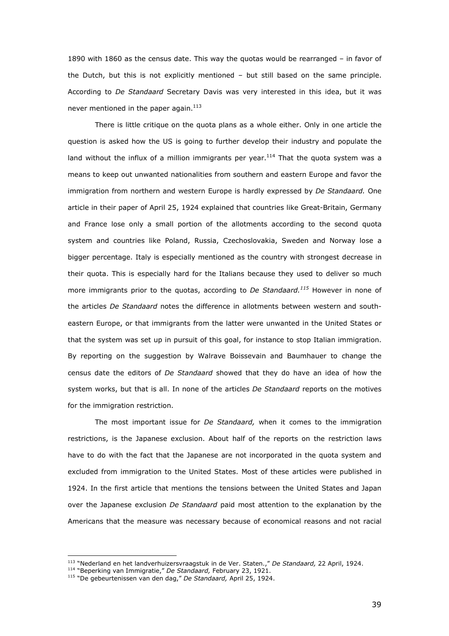1890 with 1860 as the census date. This way the quotas would be rearranged – in favor of the Dutch, but this is not explicitly mentioned – but still based on the same principle. According to *De Standaard* Secretary Davis was very interested in this idea, but it was never mentioned in the paper again. $^{113}$ 

There is little critique on the quota plans as a whole either. Only in one article the question is asked how the US is going to further develop their industry and populate the land without the influx of a million immigrants per year.<sup>114</sup> That the quota system was a means to keep out unwanted nationalities from southern and eastern Europe and favor the immigration from northern and western Europe is hardly expressed by *De Standaard.* One article in their paper of April 25, 1924 explained that countries like Great-Britain, Germany and France lose only a small portion of the allotments according to the second quota system and countries like Poland, Russia, Czechoslovakia, Sweden and Norway lose a bigger percentage. Italy is especially mentioned as the country with strongest decrease in their quota. This is especially hard for the Italians because they used to deliver so much more immigrants prior to the quotas, according to *De Standaard.<sup>115</sup>* However in none of the articles *De Standaard* notes the difference in allotments between western and southeastern Europe, or that immigrants from the latter were unwanted in the United States or that the system was set up in pursuit of this goal, for instance to stop Italian immigration. By reporting on the suggestion by Walrave Boissevain and Baumhauer to change the census date the editors of *De Standaard* showed that they do have an idea of how the system works, but that is all. In none of the articles *De Standaard* reports on the motives for the immigration restriction.

The most important issue for *De Standaard,* when it comes to the immigration restrictions, is the Japanese exclusion. About half of the reports on the restriction laws have to do with the fact that the Japanese are not incorporated in the quota system and excluded from immigration to the United States. Most of these articles were published in 1924. In the first article that mentions the tensions between the United States and Japan over the Japanese exclusion *De Standaard* paid most attention to the explanation by the Americans that the measure was necessary because of economical reasons and not racial

<sup>113</sup> "Nederland en het landverhuizersvraagstuk in de Ver. Staten.," *De Standaard,* 22 April, 1924.

<sup>114</sup> "Beperking van Immigratie," *De Standaard,* February 23, 1921.

<sup>115</sup> "De gebeurtenissen van den dag," *De Standaard,* April 25, 1924.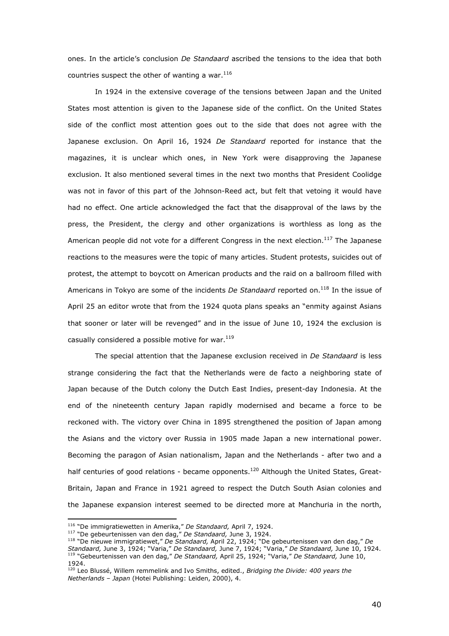ones. In the article's conclusion *De Standaard* ascribed the tensions to the idea that both countries suspect the other of wanting a war. $116$ 

In 1924 in the extensive coverage of the tensions between Japan and the United States most attention is given to the Japanese side of the conflict. On the United States side of the conflict most attention goes out to the side that does not agree with the Japanese exclusion. On April 16, 1924 *De Standaard* reported for instance that the magazines, it is unclear which ones, in New York were disapproving the Japanese exclusion. It also mentioned several times in the next two months that President Coolidge was not in favor of this part of the Johnson-Reed act, but felt that vetoing it would have had no effect. One article acknowledged the fact that the disapproval of the laws by the press, the President, the clergy and other organizations is worthless as long as the American people did not vote for a different Congress in the next election.<sup>117</sup> The Japanese reactions to the measures were the topic of many articles. Student protests, suicides out of protest, the attempt to boycott on American products and the raid on a ballroom filled with Americans in Tokyo are some of the incidents *De Standaard* reported on.<sup>118</sup> In the issue of April 25 an editor wrote that from the 1924 quota plans speaks an "enmity against Asians that sooner or later will be revenged" and in the issue of June 10, 1924 the exclusion is casually considered a possible motive for war. $^{119}$ 

The special attention that the Japanese exclusion received in *De Standaard* is less strange considering the fact that the Netherlands were de facto a neighboring state of Japan because of the Dutch colony the Dutch East Indies, present-day Indonesia. At the end of the nineteenth century Japan rapidly modernised and became a force to be reckoned with. The victory over China in 1895 strengthened the position of Japan among the Asians and the victory over Russia in 1905 made Japan a new international power. Becoming the paragon of Asian nationalism, Japan and the Netherlands - after two and a half centuries of good relations - became opponents.<sup>120</sup> Although the United States, Great-Britain, Japan and France in 1921 agreed to respect the Dutch South Asian colonies and the Japanese expansion interest seemed to be directed more at Manchuria in the north,

<sup>116</sup> "De immigratiewetten in Amerika," *De Standaard,* April 7, 1924.

<sup>117</sup> "De gebeurtenissen van den dag," *De Standaard,* June 3, 1924.

<sup>118</sup> "De nieuwe immigratiewet," *De Standaard,* April 22, 1924; "De gebeurtenissen van den dag," *De Standaard,* June 3, 1924; "Varia," *De Standaard,* June 7, 1924; "Varia," *De Standaard,* June 10, 1924. <sup>119</sup> "Gebeurtenissen van den dag," *De Standaard,* April 25, 1924; "Varia," *De Standaard,* June 10, 1924.

<sup>120</sup> Leo Blussé, Willem remmelink and Ivo Smiths, edited., *Bridging the Divide: 400 years the Netherlands – Japan* (Hotei Publishing: Leiden, 2000), 4.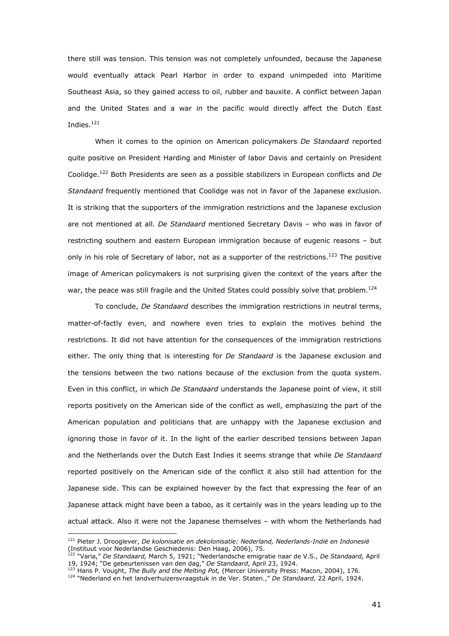there still was tension. This tension was not completely unfounded, because the Japanese would eventually attack Pearl Harbor in order to expand unimpeded into Maritime Southeast Asia, so they gained access to oil, rubber and bauxite. A conflict between Japan and the United States and a war in the pacific would directly affect the Dutch East Indies. $121$ 

When it comes to the opinion on American policymakers *De Standaard* reported quite positive on President Harding and Minister of labor Davis and certainly on President Coolidge.<sup>122</sup> Both Presidents are seen as a possible stabilizers in European conflicts and *De Standaard* frequently mentioned that Coolidge was not in favor of the Japanese exclusion. It is striking that the supporters of the immigration restrictions and the Japanese exclusion are not mentioned at all. *De Standaard* mentioned Secretary Davis – who was in favor of restricting southern and eastern European immigration because of eugenic reasons – but only in his role of Secretary of labor, not as a supporter of the restrictions.<sup>123</sup> The positive image of American policymakers is not surprising given the context of the years after the war, the peace was still fragile and the United States could possibly solve that problem.<sup>124</sup>

To conclude, *De Standaard* describes the immigration restrictions in neutral terms, matter-of-factly even, and nowhere even tries to explain the motives behind the restrictions. It did not have attention for the consequences of the immigration restrictions either. The only thing that is interesting for *De Standaard* is the Japanese exclusion and the tensions between the two nations because of the exclusion from the quota system. Even in this conflict, in which *De Standaard* understands the Japanese point of view, it still reports positively on the American side of the conflict as well, emphasizing the part of the American population and politicians that are unhappy with the Japanese exclusion and ignoring those in favor of it. In the light of the earlier described tensions between Japan and the Netherlands over the Dutch East Indies it seems strange that while *De Standaard*  reported positively on the American side of the conflict it also still had attention for the Japanese side. This can be explained however by the fact that expressing the fear of an Japanese attack might have been a taboo, as it certainly was in the years leading up to the actual attack. Also it were not the Japanese themselves – with whom the Netherlands had

<sup>121</sup> Pieter J. Drooglever, *De kolonisatie en dekolonisatie: Nederland, Nederlands-Indië en Indonesië*  (Instituut voor Nederlandse Geschiedenis: Den Haag, 2006), 75.

<sup>122</sup> "Varia," *De Standaard,* March 5, 1921; "Nederlandsche emigratie naar de V.S., *De Standaard,* April 19, 1924; "De gebeurtenissen van den dag," *De Standaard,* April 23, 1924.

<sup>123</sup> Hans P. Vought, *The Bully and the Melting Pot,* (Mercer University Press: Macon, 2004), 176.

<sup>124</sup> "Nederland en het landverhuizersvraagstuk in de Ver. Staten.," *De Standaard,* 22 April, 1924.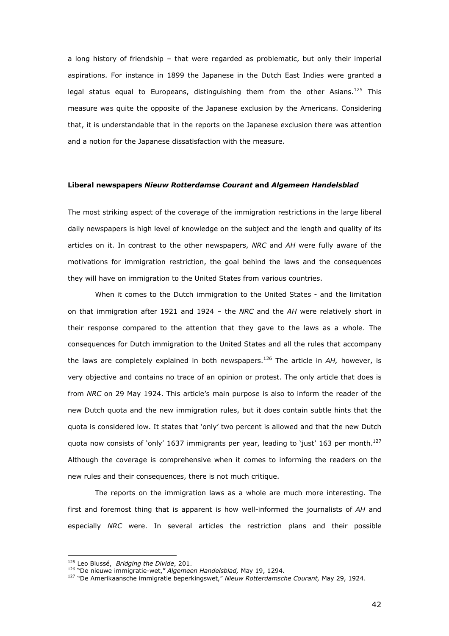a long history of friendship – that were regarded as problematic, but only their imperial aspirations. For instance in 1899 the Japanese in the Dutch East Indies were granted a legal status equal to Europeans, distinguishing them from the other Asians.<sup>125</sup> This measure was quite the opposite of the Japanese exclusion by the Americans. Considering that, it is understandable that in the reports on the Japanese exclusion there was attention and a notion for the Japanese dissatisfaction with the measure.

## **Liberal newspapers** *Nieuw Rotterdamse Courant* **and** *Algemeen Handelsblad*

The most striking aspect of the coverage of the immigration restrictions in the large liberal daily newspapers is high level of knowledge on the subject and the length and quality of its articles on it. In contrast to the other newspapers, *NRC* and *AH* were fully aware of the motivations for immigration restriction, the goal behind the laws and the consequences they will have on immigration to the United States from various countries.

 When it comes to the Dutch immigration to the United States - and the limitation on that immigration after 1921 and 1924 – the *NRC* and the *AH* were relatively short in their response compared to the attention that they gave to the laws as a whole. The consequences for Dutch immigration to the United States and all the rules that accompany the laws are completely explained in both newspapers.<sup>126</sup> The article in *AH,* however, is very objective and contains no trace of an opinion or protest. The only article that does is from *NRC* on 29 May 1924. This article's main purpose is also to inform the reader of the new Dutch quota and the new immigration rules, but it does contain subtle hints that the quota is considered low. It states that 'only' two percent is allowed and that the new Dutch quota now consists of 'only' 1637 immigrants per year, leading to 'just' 163 per month.<sup>127</sup> Although the coverage is comprehensive when it comes to informing the readers on the new rules and their consequences, there is not much critique.

 The reports on the immigration laws as a whole are much more interesting. The first and foremost thing that is apparent is how well-informed the journalists of *AH* and especially *NRC* were. In several articles the restriction plans and their possible

<sup>125</sup> Leo Blussé, *Bridging the Divide*, 201.

<sup>126</sup> "De nieuwe immigratie-wet," *Algemeen Handelsblad,* May 19, 1294.

<sup>127</sup> "De Amerikaansche immigratie beperkingswet," *Nieuw Rotterdamsche Courant,* May 29, 1924.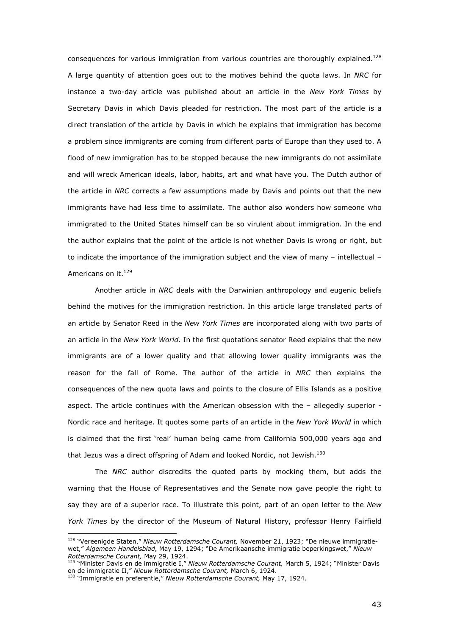consequences for various immigration from various countries are thoroughly explained.<sup>128</sup> A large quantity of attention goes out to the motives behind the quota laws. In *NRC* for instance a two-day article was published about an article in the *New York Times* by Secretary Davis in which Davis pleaded for restriction. The most part of the article is a direct translation of the article by Davis in which he explains that immigration has become a problem since immigrants are coming from different parts of Europe than they used to. A flood of new immigration has to be stopped because the new immigrants do not assimilate and will wreck American ideals, labor, habits, art and what have you. The Dutch author of the article in *NRC* corrects a few assumptions made by Davis and points out that the new immigrants have had less time to assimilate. The author also wonders how someone who immigrated to the United States himself can be so virulent about immigration. In the end the author explains that the point of the article is not whether Davis is wrong or right, but to indicate the importance of the immigration subject and the view of many – intellectual – Americans on it.<sup>129</sup>

 Another article in *NRC* deals with the Darwinian anthropology and eugenic beliefs behind the motives for the immigration restriction. In this article large translated parts of an article by Senator Reed in the *New York Times* are incorporated along with two parts of an article in the *New York World*. In the first quotations senator Reed explains that the new immigrants are of a lower quality and that allowing lower quality immigrants was the reason for the fall of Rome. The author of the article in *NRC* then explains the consequences of the new quota laws and points to the closure of Ellis Islands as a positive aspect. The article continues with the American obsession with the – allegedly superior - Nordic race and heritage. It quotes some parts of an article in the *New York World* in which is claimed that the first 'real' human being came from California 500,000 years ago and that Jezus was a direct offspring of Adam and looked Nordic, not Jewish. $^{130}$ 

 The *NRC* author discredits the quoted parts by mocking them, but adds the warning that the House of Representatives and the Senate now gave people the right to say they are of a superior race. To illustrate this point, part of an open letter to the *New York Times* by the director of the Museum of Natural History, professor Henry Fairfield

<sup>128</sup> "Vereenigde Staten," *Nieuw Rotterdamsche Courant,* November 21, 1923; "De nieuwe immigratiewet," *Algemeen Handelsblad,* May 19, 1294; "De Amerikaansche immigratie beperkingswet," *Nieuw Rotterdamsche Courant,* May 29, 1924.

<sup>129</sup> "Minister Davis en de immigratie I," *Nieuw Rotterdamsche Courant,* March 5, 1924; "Minister Davis en de immigratie II," *Nieuw Rotterdamsche Courant,* March 6, 1924.

<sup>130</sup> "Immigratie en preferentie," *Nieuw Rotterdamsche Courant,* May 17, 1924.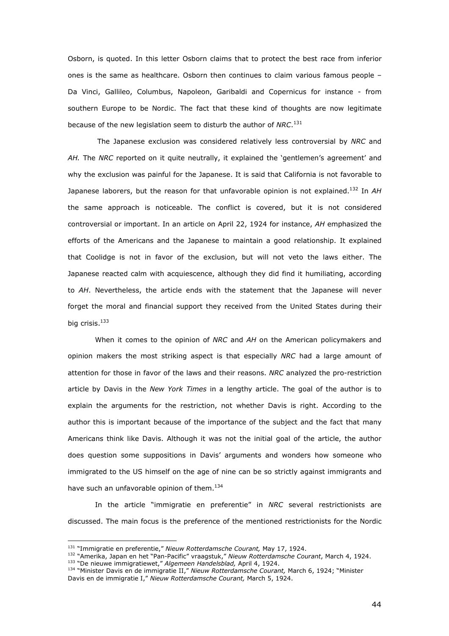Osborn, is quoted. In this letter Osborn claims that to protect the best race from inferior ones is the same as healthcare. Osborn then continues to claim various famous people – Da Vinci, Gallileo, Columbus, Napoleon, Garibaldi and Copernicus for instance - from southern Europe to be Nordic. The fact that these kind of thoughts are now legitimate because of the new legislation seem to disturb the author of *NRC*. 131

 The Japanese exclusion was considered relatively less controversial by *NRC* and *AH.* The *NRC* reported on it quite neutrally, it explained the 'gentlemen's agreement' and why the exclusion was painful for the Japanese. It is said that California is not favorable to Japanese laborers, but the reason for that unfavorable opinion is not explained.<sup>132</sup> In *AH*  the same approach is noticeable. The conflict is covered, but it is not considered controversial or important. In an article on April 22, 1924 for instance, *AH* emphasized the efforts of the Americans and the Japanese to maintain a good relationship. It explained that Coolidge is not in favor of the exclusion, but will not veto the laws either. The Japanese reacted calm with acquiescence, although they did find it humiliating, according to *AH*. Nevertheless, the article ends with the statement that the Japanese will never forget the moral and financial support they received from the United States during their big crisis.<sup>133</sup>

 When it comes to the opinion of *NRC* and *AH* on the American policymakers and opinion makers the most striking aspect is that especially *NRC* had a large amount of attention for those in favor of the laws and their reasons. *NRC* analyzed the pro-restriction article by Davis in the *New York Times* in a lengthy article. The goal of the author is to explain the arguments for the restriction, not whether Davis is right. According to the author this is important because of the importance of the subject and the fact that many Americans think like Davis. Although it was not the initial goal of the article, the author does question some suppositions in Davis' arguments and wonders how someone who immigrated to the US himself on the age of nine can be so strictly against immigrants and have such an unfavorable opinion of them.<sup>134</sup>

 In the article "immigratie en preferentie" in *NRC* several restrictionists are discussed. The main focus is the preference of the mentioned restrictionists for the Nordic

<sup>131</sup> "Immigratie en preferentie," *Nieuw Rotterdamsche Courant,* May 17, 1924.

<sup>132</sup> "Amerika, Japan en het "Pan-Pacific" vraagstuk," *Nieuw Rotterdamsche Courant*, March 4, 1924. <sup>133</sup> "De nieuwe immigratiewet," *Algemeen Handelsblad,* April 4, 1924.

<sup>134</sup> "Minister Davis en de immigratie II," *Nieuw Rotterdamsche Courant,* March 6, 1924; "Minister Davis en de immigratie I," *Nieuw Rotterdamsche Courant,* March 5, 1924.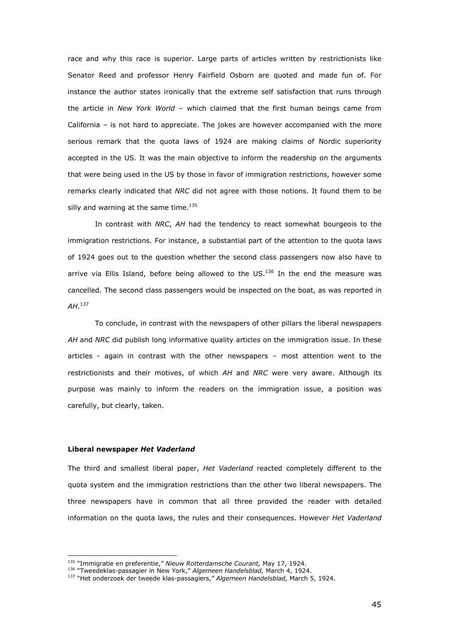race and why this race is superior. Large parts of articles written by restrictionists like Senator Reed and professor Henry Fairfield Osborn are quoted and made fun of. For instance the author states ironically that the extreme self satisfaction that runs through the article in *New York World* – which claimed that the first human beings came from California – is not hard to appreciate. The jokes are however accompanied with the more serious remark that the quota laws of 1924 are making claims of Nordic superiority accepted in the US. It was the main objective to inform the readership on the arguments that were being used in the US by those in favor of immigration restrictions, however some remarks clearly indicated that *NRC* did not agree with those notions. It found them to be silly and warning at the same time. $^{135}$ 

In contrast with *NRC*, *AH* had the tendency to react somewhat bourgeois to the immigration restrictions. For instance, a substantial part of the attention to the quota laws of 1924 goes out to the question whether the second class passengers now also have to arrive via Ellis Island, before being allowed to the  $US.<sup>136</sup>$  In the end the measure was cancelled. The second class passengers would be inspected on the boat, as was reported in *AH*. 137

To conclude, in contrast with the newspapers of other pillars the liberal newspapers *AH* and *NRC* did publish long informative quality articles on the immigration issue. In these articles - again in contrast with the other newspapers – most attention went to the restrictionists and their motives, of which *AH* and *NRC* were very aware. Although its purpose was mainly to inform the readers on the immigration issue, a position was carefully, but clearly, taken.

## **Liberal newspaper** *Het Vaderland*

ł

The third and smallest liberal paper, *Het Vaderland* reacted completely different to the quota system and the immigration restrictions than the other two liberal newspapers. The three newspapers have in common that all three provided the reader with detailed information on the quota laws, the rules and their consequences. However *Het Vaderland* 

<sup>135</sup> "Immigratie en preferentie," *Nieuw Rotterdamsche Courant,* May 17, 1924.

<sup>136</sup> "Tweedeklas-passagier in New York," *Algemeen Handelsblad,* March 4, 1924.

<sup>137</sup> "Het onderzoek der tweede klas-passagiers," *Algemeen Handelsblad,* March 5, 1924.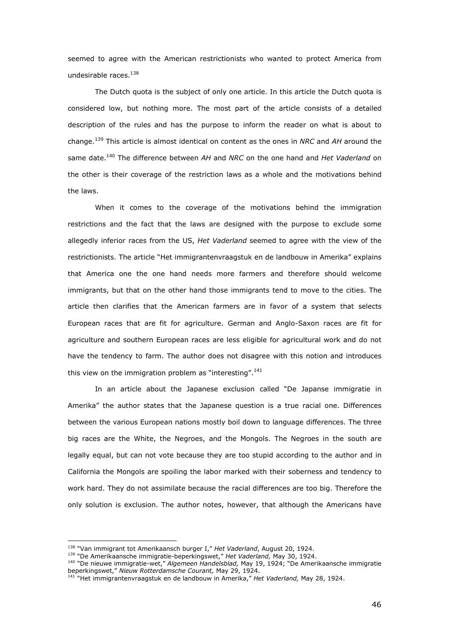seemed to agree with the American restrictionists who wanted to protect America from undesirable races.<sup>138</sup>

 The Dutch quota is the subject of only one article. In this article the Dutch quota is considered low, but nothing more. The most part of the article consists of a detailed description of the rules and has the purpose to inform the reader on what is about to change.<sup>139</sup> This article is almost identical on content as the ones in *NRC* and *AH* around the same date.<sup>140</sup> The difference between *AH* and *NRC* on the one hand and *Het Vaderland* on the other is their coverage of the restriction laws as a whole and the motivations behind the laws.

When it comes to the coverage of the motivations behind the immigration restrictions and the fact that the laws are designed with the purpose to exclude some allegedly inferior races from the US, *Het Vaderland* seemed to agree with the view of the restrictionists. The article "Het immigrantenvraagstuk en de landbouw in Amerika" explains that America one the one hand needs more farmers and therefore should welcome immigrants, but that on the other hand those immigrants tend to move to the cities. The article then clarifies that the American farmers are in favor of a system that selects European races that are fit for agriculture. German and Anglo-Saxon races are fit for agriculture and southern European races are less eligible for agricultural work and do not have the tendency to farm. The author does not disagree with this notion and introduces this view on the immigration problem as "interesting".<sup>141</sup>

In an article about the Japanese exclusion called "De Japanse immigratie in Amerika" the author states that the Japanese question is a true racial one. Differences between the various European nations mostly boil down to language differences. The three big races are the White, the Negroes, and the Mongols. The Negroes in the south are legally equal, but can not vote because they are too stupid according to the author and in California the Mongols are spoiling the labor marked with their soberness and tendency to work hard. They do not assimilate because the racial differences are too big. Therefore the only solution is exclusion. The author notes, however, that although the Americans have

<sup>138</sup> "Van immigrant tot Amerikaansch burger I," *Het Vaderland*, August 20, 1924.

<sup>139</sup> "De Amerikaansche immigratie-beperkingswet," *Het Vaderland,* May 30, 1924.

<sup>140</sup> "De nieuwe immigratie-wet," *Algemeen Handelsblad,* May 19, 1924; "De Amerikaansche immigratie beperkingswet," *Nieuw Rotterdamsche Courant,* May 29, 1924.

<sup>141</sup> "Het immigrantenvraagstuk en de landbouw in Amerika," *Het Vaderland,* May 28, 1924.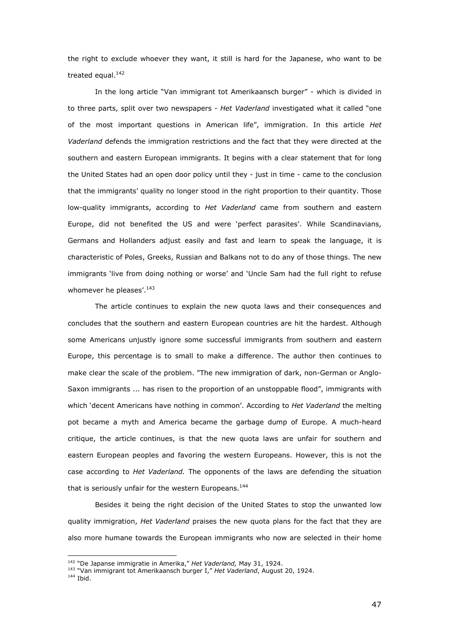the right to exclude whoever they want, it still is hard for the Japanese, who want to be treated equal.<sup>142</sup>

In the long article "Van immigrant tot Amerikaansch burger" - which is divided in to three parts, split over two newspapers - *Het Vaderland* investigated what it called "one of the most important questions in American life", immigration. In this article *Het Vaderland* defends the immigration restrictions and the fact that they were directed at the southern and eastern European immigrants. It begins with a clear statement that for long the United States had an open door policy until they - just in time - came to the conclusion that the immigrants' quality no longer stood in the right proportion to their quantity. Those low-quality immigrants, according to *Het Vaderland* came from southern and eastern Europe, did not benefited the US and were 'perfect parasites'. While Scandinavians, Germans and Hollanders adjust easily and fast and learn to speak the language, it is characteristic of Poles, Greeks, Russian and Balkans not to do any of those things. The new immigrants 'live from doing nothing or worse' and 'Uncle Sam had the full right to refuse whomever he pleases'.<sup>143</sup>

The article continues to explain the new quota laws and their consequences and concludes that the southern and eastern European countries are hit the hardest. Although some Americans unjustly ignore some successful immigrants from southern and eastern Europe, this percentage is to small to make a difference. The author then continues to make clear the scale of the problem. "The new immigration of dark, non-German or Anglo-Saxon immigrants ... has risen to the proportion of an unstoppable flood", immigrants with which 'decent Americans have nothing in common'. According to *Het Vaderland* the melting pot became a myth and America became the garbage dump of Europe. A much-heard critique, the article continues, is that the new quota laws are unfair for southern and eastern European peoples and favoring the western Europeans. However, this is not the case according to *Het Vaderland.* The opponents of the laws are defending the situation that is seriously unfair for the western Europeans.<sup>144</sup>

Besides it being the right decision of the United States to stop the unwanted low quality immigration, *Het Vaderland* praises the new quota plans for the fact that they are also more humane towards the European immigrants who now are selected in their home

<sup>142</sup> "De Japanse immigratie in Amerika," *Het Vaderland,* May 31, 1924.

<sup>143</sup> "Van immigrant tot Amerikaansch burger I," *Het Vaderland*, August 20, 1924.

<sup>144</sup> Ibid.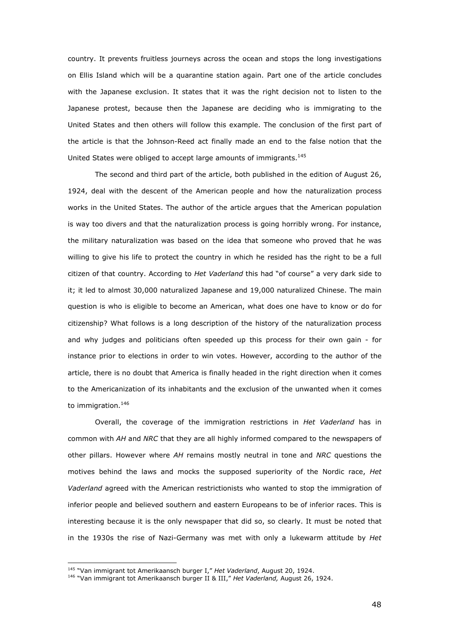country. It prevents fruitless journeys across the ocean and stops the long investigations on Ellis Island which will be a quarantine station again. Part one of the article concludes with the Japanese exclusion. It states that it was the right decision not to listen to the Japanese protest, because then the Japanese are deciding who is immigrating to the United States and then others will follow this example. The conclusion of the first part of the article is that the Johnson-Reed act finally made an end to the false notion that the United States were obliged to accept large amounts of immigrants.<sup>145</sup>

The second and third part of the article, both published in the edition of August 26, 1924, deal with the descent of the American people and how the naturalization process works in the United States. The author of the article argues that the American population is way too divers and that the naturalization process is going horribly wrong. For instance, the military naturalization was based on the idea that someone who proved that he was willing to give his life to protect the country in which he resided has the right to be a full citizen of that country. According to *Het Vaderland* this had "of course" a very dark side to it; it led to almost 30,000 naturalized Japanese and 19,000 naturalized Chinese. The main question is who is eligible to become an American, what does one have to know or do for citizenship? What follows is a long description of the history of the naturalization process and why judges and politicians often speeded up this process for their own gain - for instance prior to elections in order to win votes. However, according to the author of the article, there is no doubt that America is finally headed in the right direction when it comes to the Americanization of its inhabitants and the exclusion of the unwanted when it comes to immigration.<sup>146</sup>

Overall, the coverage of the immigration restrictions in *Het Vaderland* has in common with *AH* and *NRC* that they are all highly informed compared to the newspapers of other pillars. However where *AH* remains mostly neutral in tone and *NRC* questions the motives behind the laws and mocks the supposed superiority of the Nordic race, *Het Vaderland* agreed with the American restrictionists who wanted to stop the immigration of inferior people and believed southern and eastern Europeans to be of inferior races. This is interesting because it is the only newspaper that did so, so clearly. It must be noted that in the 1930s the rise of Nazi-Germany was met with only a lukewarm attitude by *Het* 

<sup>145</sup> "Van immigrant tot Amerikaansch burger I," *Het Vaderland*, August 20, 1924.

<sup>146</sup> "Van immigrant tot Amerikaansch burger II & III," *Het Vaderland,* August 26, 1924.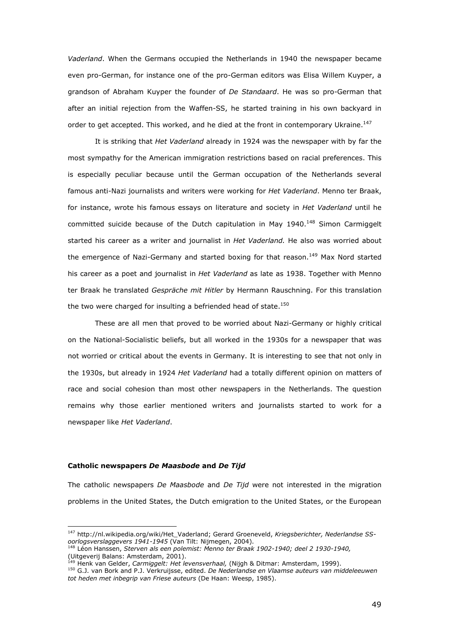*Vaderland*. When the Germans occupied the Netherlands in 1940 the newspaper became even pro-German, for instance one of the pro-German editors was Elisa Willem Kuyper, a grandson of Abraham Kuyper the founder of *De Standaard*. He was so pro-German that after an initial rejection from the Waffen-SS, he started training in his own backyard in order to get accepted. This worked, and he died at the front in contemporary Ukraine.<sup>147</sup>

It is striking that *Het Vaderland* already in 1924 was the newspaper with by far the most sympathy for the American immigration restrictions based on racial preferences. This is especially peculiar because until the German occupation of the Netherlands several famous anti-Nazi journalists and writers were working for *Het Vaderland*. Menno ter Braak, for instance, wrote his famous essays on literature and society in *Het Vaderland* until he committed suicide because of the Dutch capitulation in May  $1940.<sup>148</sup>$  Simon Carmiggelt started his career as a writer and journalist in *Het Vaderland.* He also was worried about the emergence of Nazi-Germany and started boxing for that reason.<sup>149</sup> Max Nord started his career as a poet and journalist in *Het Vaderland* as late as 1938. Together with Menno ter Braak he translated *Gespräche mit Hitler* by Hermann Rauschning. For this translation the two were charged for insulting a befriended head of state. $^{150}$ 

These are all men that proved to be worried about Nazi-Germany or highly critical on the National-Socialistic beliefs, but all worked in the 1930s for a newspaper that was not worried or critical about the events in Germany. It is interesting to see that not only in the 1930s, but already in 1924 *Het Vaderland* had a totally different opinion on matters of race and social cohesion than most other newspapers in the Netherlands. The question remains why those earlier mentioned writers and journalists started to work for a newspaper like *Het Vaderland*.

## **Catholic newspapers** *De Maasbode* **and** *De Tijd*

j.

The catholic newspapers *De Maasbode* and *De Tijd* were not interested in the migration problems in the United States, the Dutch emigration to the United States, or the European

<sup>147</sup> http://nl.wikipedia.org/wiki/Het\_Vaderland; Gerard Groeneveld, *Kriegsberichter, Nederlandse SSoorlogsverslaggevers 1941-1945* (Van Tilt: Nijmegen, 2004).

<sup>148</sup> Léon Hanssen, *Sterven als een polemist: Menno ter Braak 1902-1940; deel 2 1930-1940,*  (Uitgeverij Balans: Amsterdam, 2001).

<sup>&</sup>lt;sup>3</sup> Henk van Gelder, *Carmiggelt: Het levensverhaal*, (Nijgh & Ditmar: Amsterdam, 1999).

<sup>150</sup> G.J. van Bork and P.J. Verkruijsse, edited. *De Nederlandse en Vlaamse auteurs van middeleeuwen tot heden met inbegrip van Friese auteurs* (De Haan: Weesp, 1985).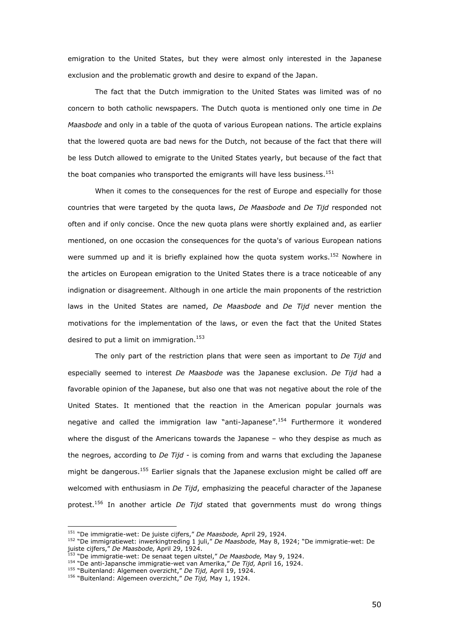emigration to the United States, but they were almost only interested in the Japanese exclusion and the problematic growth and desire to expand of the Japan.

 The fact that the Dutch immigration to the United States was limited was of no concern to both catholic newspapers. The Dutch quota is mentioned only one time in *De Maasbode* and only in a table of the quota of various European nations. The article explains that the lowered quota are bad news for the Dutch, not because of the fact that there will be less Dutch allowed to emigrate to the United States yearly, but because of the fact that the boat companies who transported the emigrants will have less business.<sup>151</sup>

When it comes to the consequences for the rest of Europe and especially for those countries that were targeted by the quota laws, *De Maasbode* and *De Tijd* responded not often and if only concise. Once the new quota plans were shortly explained and, as earlier mentioned, on one occasion the consequences for the quota's of various European nations were summed up and it is briefly explained how the quota system works.<sup>152</sup> Nowhere in the articles on European emigration to the United States there is a trace noticeable of any indignation or disagreement. Although in one article the main proponents of the restriction laws in the United States are named, *De Maasbode* and *De Tijd* never mention the motivations for the implementation of the laws, or even the fact that the United States desired to put a limit on immigration.<sup>153</sup>

The only part of the restriction plans that were seen as important to *De Tijd* and especially seemed to interest *De Maasbode* was the Japanese exclusion. *De Tijd* had a favorable opinion of the Japanese, but also one that was not negative about the role of the United States. It mentioned that the reaction in the American popular journals was negative and called the immigration law "anti-Japanese".<sup>154</sup> Furthermore it wondered where the disgust of the Americans towards the Japanese – who they despise as much as the negroes, according to *De Tijd* - is coming from and warns that excluding the Japanese might be dangerous.<sup>155</sup> Earlier signals that the Japanese exclusion might be called off are welcomed with enthusiasm in *De Tijd*, emphasizing the peaceful character of the Japanese protest.<sup>156</sup> In another article *De Tijd* stated that governments must do wrong things

<sup>151</sup> "De immigratie-wet: De juiste cijfers," *De Maasbode,* April 29, 1924.

<sup>152</sup> "De immigratiewet: inwerkingtreding 1 juli," *De Maasbode,* May 8, 1924; "De immigratie-wet: De juiste cijfers," *De Maasbode,* April 29, 1924.

<sup>153</sup> "De immigratie-wet: De senaat tegen uitstel," *De Maasbode,* May 9, 1924.

<sup>154</sup> "De anti-Japansche immigratie-wet van Amerika," *De Tijd,* April 16, 1924.

<sup>155</sup> "Buitenland: Algemeen overzicht," *De Tijd,* April 19, 1924.

<sup>156</sup> "Buitenland: Algemeen overzicht," *De Tijd,* May 1, 1924.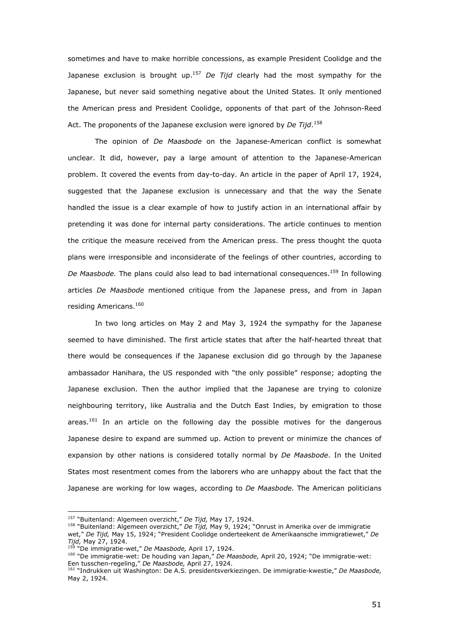sometimes and have to make horrible concessions, as example President Coolidge and the Japanese exclusion is brought up.<sup>157</sup> *De Tijd* clearly had the most sympathy for the Japanese, but never said something negative about the United States. It only mentioned the American press and President Coolidge, opponents of that part of the Johnson-Reed Act. The proponents of the Japanese exclusion were ignored by *De Tijd*. 158

 The opinion of *De Maasbode* on the Japanese-American conflict is somewhat unclear. It did, however, pay a large amount of attention to the Japanese-American problem. It covered the events from day-to-day. An article in the paper of April 17, 1924, suggested that the Japanese exclusion is unnecessary and that the way the Senate handled the issue is a clear example of how to justify action in an international affair by pretending it was done for internal party considerations. The article continues to mention the critique the measure received from the American press. The press thought the quota plans were irresponsible and inconsiderate of the feelings of other countries, according to *De Maasbode.* The plans could also lead to bad international consequences.<sup>159</sup> In following articles *De Maasbode* mentioned critique from the Japanese press, and from in Japan residing Americans.<sup>160</sup>

 In two long articles on May 2 and May 3, 1924 the sympathy for the Japanese seemed to have diminished. The first article states that after the half-hearted threat that there would be consequences if the Japanese exclusion did go through by the Japanese ambassador Hanihara, the US responded with "the only possible" response; adopting the Japanese exclusion. Then the author implied that the Japanese are trying to colonize neighbouring territory, like Australia and the Dutch East Indies, by emigration to those areas.<sup>161</sup> In an article on the following day the possible motives for the dangerous Japanese desire to expand are summed up. Action to prevent or minimize the chances of expansion by other nations is considered totally normal by *De Maasbode*. In the United States most resentment comes from the laborers who are unhappy about the fact that the Japanese are working for low wages, according to *De Maasbode.* The American politicians

<sup>157</sup> "Buitenland: Algemeen overzicht," *De Tijd,* May 17, 1924.

<sup>158</sup> "Buitenland: Algemeen overzicht," *De Tijd,* May 9, 1924; "Onrust in Amerika over de immigratie

wet," *De Tijd,* May 15, 1924; "President Coolidge onderteekent de Amerikaansche immigratiewet," *De Tijd,* May 27, 1924.

<sup>159</sup> "De immigratie-wet," *De Maasbode,* April 17, 1924.

<sup>160</sup> "De immigratie-wet: De houding van Japan," *De Maasbode,* April 20, 1924; "De immigratie-wet: Een tusschen-regeling," *De Maasbode,* April 27, 1924.

<sup>161</sup> "Indrukken uit Washington: De A.S. presidentsverkiezingen. De immigratie-kwestie," *De Maasbode,*  May 2, 1924.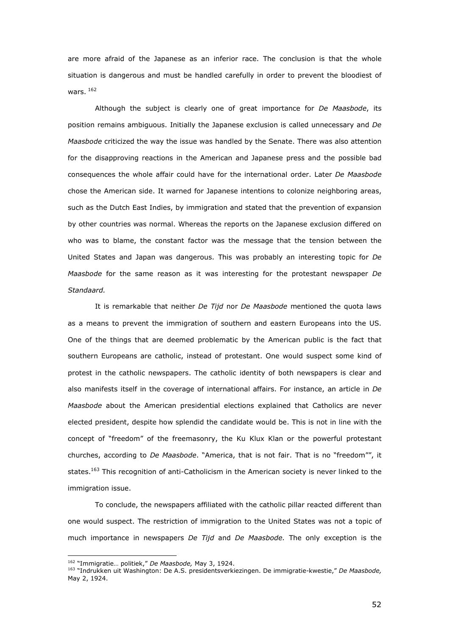are more afraid of the Japanese as an inferior race. The conclusion is that the whole situation is dangerous and must be handled carefully in order to prevent the bloodiest of wars. <sup>162</sup>

Although the subject is clearly one of great importance for *De Maasbode*, its position remains ambiguous. Initially the Japanese exclusion is called unnecessary and *De Maasbode* criticized the way the issue was handled by the Senate. There was also attention for the disapproving reactions in the American and Japanese press and the possible bad consequences the whole affair could have for the international order. Later *De Maasbode*  chose the American side. It warned for Japanese intentions to colonize neighboring areas, such as the Dutch East Indies, by immigration and stated that the prevention of expansion by other countries was normal. Whereas the reports on the Japanese exclusion differed on who was to blame, the constant factor was the message that the tension between the United States and Japan was dangerous. This was probably an interesting topic for *De Maasbode* for the same reason as it was interesting for the protestant newspaper *De Standaard.* 

 It is remarkable that neither *De Tijd* nor *De Maasbode* mentioned the quota laws as a means to prevent the immigration of southern and eastern Europeans into the US. One of the things that are deemed problematic by the American public is the fact that southern Europeans are catholic, instead of protestant. One would suspect some kind of protest in the catholic newspapers. The catholic identity of both newspapers is clear and also manifests itself in the coverage of international affairs. For instance, an article in *De Maasbode* about the American presidential elections explained that Catholics are never elected president, despite how splendid the candidate would be. This is not in line with the concept of "freedom" of the freemasonry, the Ku Klux Klan or the powerful protestant churches, according to *De Maasbode*. "America, that is not fair. That is no "freedom"", it states.<sup>163</sup> This recognition of anti-Catholicism in the American society is never linked to the immigration issue.

 To conclude, the newspapers affiliated with the catholic pillar reacted different than one would suspect. The restriction of immigration to the United States was not a topic of much importance in newspapers *De Tijd* and *De Maasbode.* The only exception is the

<sup>162</sup> "Immigratie… politiek," *De Maasbode,* May 3, 1924.

<sup>163</sup> "Indrukken uit Washington: De A.S. presidentsverkiezingen. De immigratie-kwestie," *De Maasbode,*  May 2, 1924.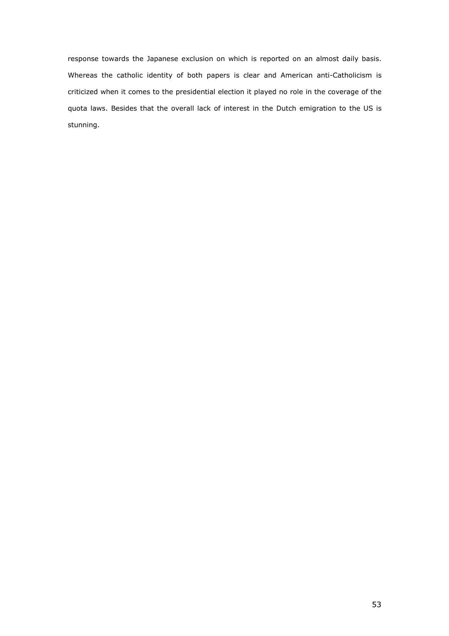response towards the Japanese exclusion on which is reported on an almost daily basis. Whereas the catholic identity of both papers is clear and American anti-Catholicism is criticized when it comes to the presidential election it played no role in the coverage of the quota laws. Besides that the overall lack of interest in the Dutch emigration to the US is stunning.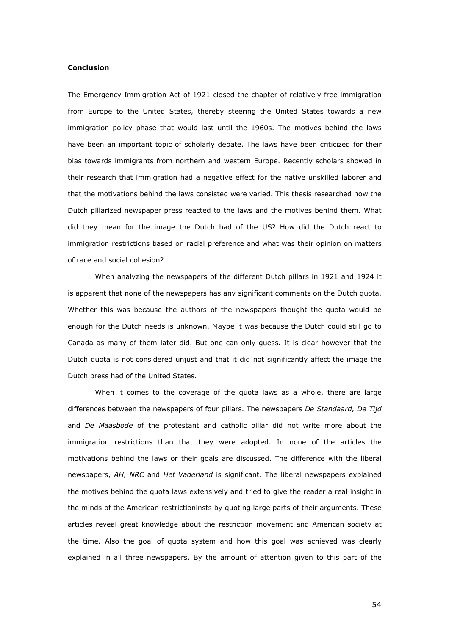### **Conclusion**

The Emergency Immigration Act of 1921 closed the chapter of relatively free immigration from Europe to the United States, thereby steering the United States towards a new immigration policy phase that would last until the 1960s. The motives behind the laws have been an important topic of scholarly debate. The laws have been criticized for their bias towards immigrants from northern and western Europe. Recently scholars showed in their research that immigration had a negative effect for the native unskilled laborer and that the motivations behind the laws consisted were varied. This thesis researched how the Dutch pillarized newspaper press reacted to the laws and the motives behind them. What did they mean for the image the Dutch had of the US? How did the Dutch react to immigration restrictions based on racial preference and what was their opinion on matters of race and social cohesion?

 When analyzing the newspapers of the different Dutch pillars in 1921 and 1924 it is apparent that none of the newspapers has any significant comments on the Dutch quota. Whether this was because the authors of the newspapers thought the quota would be enough for the Dutch needs is unknown. Maybe it was because the Dutch could still go to Canada as many of them later did. But one can only guess. It is clear however that the Dutch quota is not considered unjust and that it did not significantly affect the image the Dutch press had of the United States.

 When it comes to the coverage of the quota laws as a whole, there are large differences between the newspapers of four pillars. The newspapers *De Standaard, De Tijd*  and *De Maasbode* of the protestant and catholic pillar did not write more about the immigration restrictions than that they were adopted. In none of the articles the motivations behind the laws or their goals are discussed. The difference with the liberal newspapers, *AH, NRC* and *Het Vaderland* is significant. The liberal newspapers explained the motives behind the quota laws extensively and tried to give the reader a real insight in the minds of the American restrictioninsts by quoting large parts of their arguments. These articles reveal great knowledge about the restriction movement and American society at the time. Also the goal of quota system and how this goal was achieved was clearly explained in all three newspapers. By the amount of attention given to this part of the

54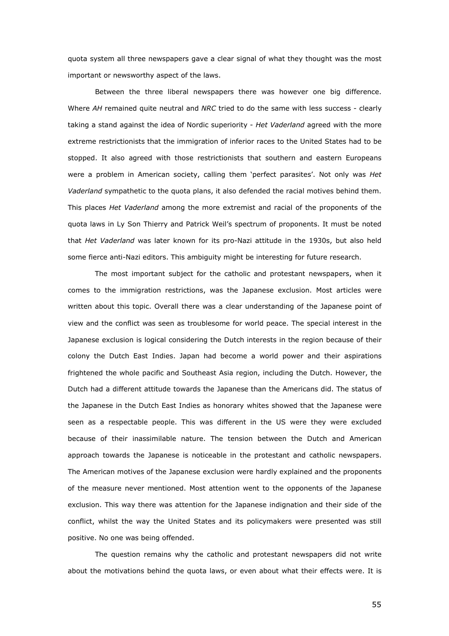quota system all three newspapers gave a clear signal of what they thought was the most important or newsworthy aspect of the laws.

 Between the three liberal newspapers there was however one big difference. Where *AH* remained quite neutral and *NRC* tried to do the same with less success - clearly taking a stand against the idea of Nordic superiority - *Het Vaderland* agreed with the more extreme restrictionists that the immigration of inferior races to the United States had to be stopped. It also agreed with those restrictionists that southern and eastern Europeans were a problem in American society, calling them 'perfect parasites'. Not only was *Het Vaderland* sympathetic to the quota plans, it also defended the racial motives behind them. This places *Het Vaderland* among the more extremist and racial of the proponents of the quota laws in Ly Son Thierry and Patrick Weil's spectrum of proponents. It must be noted that *Het Vaderland* was later known for its pro-Nazi attitude in the 1930s, but also held some fierce anti-Nazi editors. This ambiguity might be interesting for future research.

The most important subject for the catholic and protestant newspapers, when it comes to the immigration restrictions, was the Japanese exclusion. Most articles were written about this topic. Overall there was a clear understanding of the Japanese point of view and the conflict was seen as troublesome for world peace. The special interest in the Japanese exclusion is logical considering the Dutch interests in the region because of their colony the Dutch East Indies. Japan had become a world power and their aspirations frightened the whole pacific and Southeast Asia region, including the Dutch. However, the Dutch had a different attitude towards the Japanese than the Americans did. The status of the Japanese in the Dutch East Indies as honorary whites showed that the Japanese were seen as a respectable people. This was different in the US were they were excluded because of their inassimilable nature. The tension between the Dutch and American approach towards the Japanese is noticeable in the protestant and catholic newspapers. The American motives of the Japanese exclusion were hardly explained and the proponents of the measure never mentioned. Most attention went to the opponents of the Japanese exclusion. This way there was attention for the Japanese indignation and their side of the conflict, whilst the way the United States and its policymakers were presented was still positive. No one was being offended.

 The question remains why the catholic and protestant newspapers did not write about the motivations behind the quota laws, or even about what their effects were. It is

55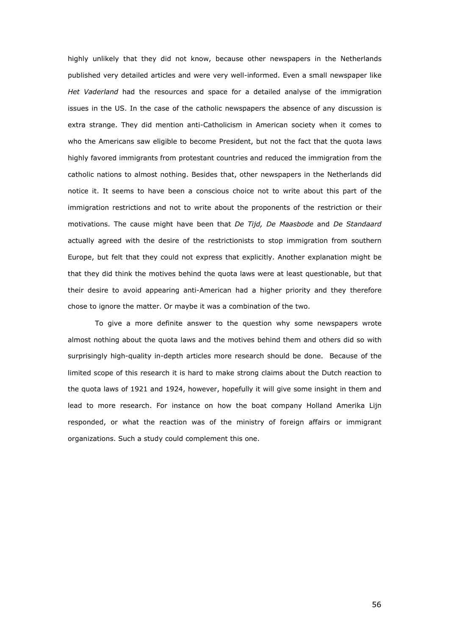highly unlikely that they did not know, because other newspapers in the Netherlands published very detailed articles and were very well-informed. Even a small newspaper like *Het Vaderland* had the resources and space for a detailed analyse of the immigration issues in the US. In the case of the catholic newspapers the absence of any discussion is extra strange. They did mention anti-Catholicism in American society when it comes to who the Americans saw eligible to become President, but not the fact that the quota laws highly favored immigrants from protestant countries and reduced the immigration from the catholic nations to almost nothing. Besides that, other newspapers in the Netherlands did notice it. It seems to have been a conscious choice not to write about this part of the immigration restrictions and not to write about the proponents of the restriction or their motivations. The cause might have been that *De Tijd, De Maasbode* and *De Standaard*  actually agreed with the desire of the restrictionists to stop immigration from southern Europe, but felt that they could not express that explicitly. Another explanation might be that they did think the motives behind the quota laws were at least questionable, but that their desire to avoid appearing anti-American had a higher priority and they therefore chose to ignore the matter. Or maybe it was a combination of the two.

 To give a more definite answer to the question why some newspapers wrote almost nothing about the quota laws and the motives behind them and others did so with surprisingly high-quality in-depth articles more research should be done. Because of the limited scope of this research it is hard to make strong claims about the Dutch reaction to the quota laws of 1921 and 1924, however, hopefully it will give some insight in them and lead to more research. For instance on how the boat company Holland Amerika Lijn responded, or what the reaction was of the ministry of foreign affairs or immigrant organizations. Such a study could complement this one.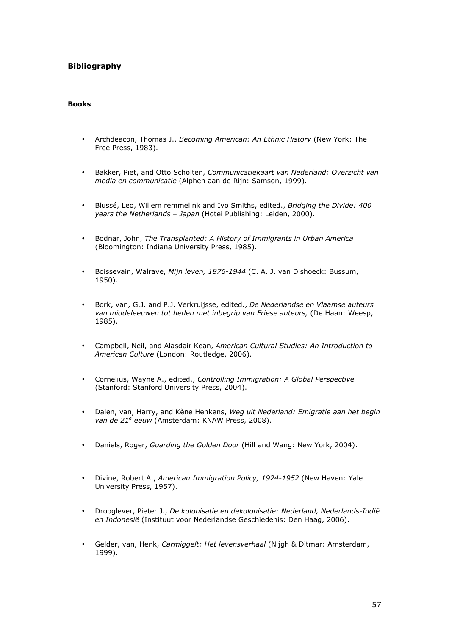# **Bibliography**

## **Books**

- Archdeacon, Thomas J., *Becoming American: An Ethnic History* (New York: The Free Press, 1983).
- Bakker, Piet, and Otto Scholten, *Communicatiekaart van Nederland: Overzicht van media en communicatie* (Alphen aan de Rijn: Samson, 1999).
- Blussé, Leo, Willem remmelink and Ivo Smiths, edited., *Bridging the Divide: 400 years the Netherlands – Japan* (Hotei Publishing: Leiden, 2000).
- Bodnar, John, *The Transplanted: A History of Immigrants in Urban America*  (Bloomington: Indiana University Press, 1985).
- Boissevain, Walrave, *Mijn leven, 1876-1944* (C. A. J. van Dishoeck: Bussum, 1950).
- Bork, van, G.J. and P.J. Verkruijsse, edited., *De Nederlandse en Vlaamse auteurs van middeleeuwen tot heden met inbegrip van Friese auteurs,* (De Haan: Weesp, 1985).
- Campbell, Neil, and Alasdair Kean, *American Cultural Studies: An Introduction to American Culture* (London: Routledge, 2006).
- Cornelius, Wayne A., edited., *Controlling Immigration: A Global Perspective*  (Stanford: Stanford University Press, 2004).
- Dalen, van, Harry, and Kène Henkens, *Weg uit Nederland: Emigratie aan het begin*  van de 21<sup>e</sup> eeuw (Amsterdam: KNAW Press, 2008).
- Daniels, Roger, *Guarding the Golden Door* (Hill and Wang: New York, 2004).
- Divine, Robert A., *American Immigration Policy, 1924-1952* (New Haven: Yale University Press, 1957).
- Drooglever, Pieter J., *De kolonisatie en dekolonisatie: Nederland, Nederlands-Indië en Indonesië* (Instituut voor Nederlandse Geschiedenis: Den Haag, 2006).
- Gelder, van, Henk, *Carmiggelt: Het levensverhaal* (Nijgh & Ditmar: Amsterdam, 1999).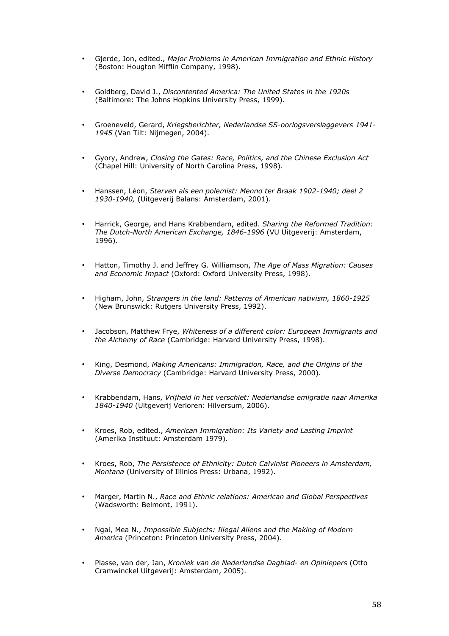- Gjerde, Jon, edited., *Major Problems in American Immigration and Ethnic History*  (Boston: Hougton Mifflin Company, 1998).
- Goldberg, David J., *Discontented America: The United States in the 1920s*  (Baltimore: The Johns Hopkins University Press, 1999).
- Groeneveld, Gerard, *Kriegsberichter, Nederlandse SS-oorlogsverslaggevers 1941- 1945* (Van Tilt: Nijmegen, 2004).
- Gyory, Andrew, *Closing the Gates: Race, Politics, and the Chinese Exclusion Act*  (Chapel Hill: University of North Carolina Press, 1998).
- Hanssen, Léon, *Sterven als een polemist: Menno ter Braak 1902-1940; deel 2 1930-1940,* (Uitgeverij Balans: Amsterdam, 2001).
- Harrick, George, and Hans Krabbendam, edited. *Sharing the Reformed Tradition: The Dutch-North American Exchange, 1846-1996* (VU Uitgeverij: Amsterdam, 1996).
- Hatton, Timothy J. and Jeffrey G. Williamson, *The Age of Mass Migration: Causes and Economic Impact* (Oxford: Oxford University Press, 1998).
- Higham, John, *Strangers in the land: Patterns of American nativism, 1860-1925* (New Brunswick: Rutgers University Press, 1992).
- Jacobson, Matthew Frye, *Whiteness of a different color: European Immigrants and the Alchemy of Race* (Cambridge: Harvard University Press, 1998).
- King, Desmond, *Making Americans: Immigration, Race, and the Origins of the Diverse Democracy* (Cambridge: Harvard University Press, 2000).
- Krabbendam, Hans, *Vrijheid in het verschiet: Nederlandse emigratie naar Amerika 1840-1940* (Uitgeverij Verloren: Hilversum, 2006).
- Kroes, Rob, edited., *American Immigration: Its Variety and Lasting Imprint*  (Amerika Instituut: Amsterdam 1979).
- Kroes, Rob, *The Persistence of Ethnicity: Dutch Calvinist Pioneers in Amsterdam, Montana* (University of Illinios Press: Urbana, 1992).
- Marger, Martin N., *Race and Ethnic relations: American and Global Perspectives* (Wadsworth: Belmont, 1991).
- Ngai, Mea N., *Impossible Subjects: Illegal Aliens and the Making of Modern America* (Princeton: Princeton University Press, 2004).
- Plasse, van der, Jan, *Kroniek van de Nederlandse Dagblad- en Opiniepers* (Otto Cramwinckel Uitgeverij: Amsterdam, 2005).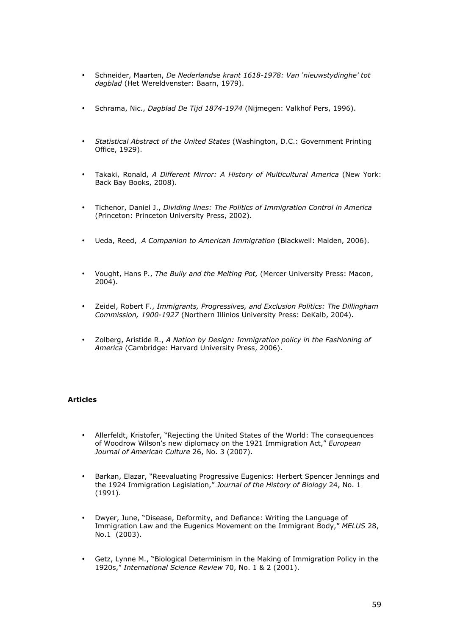- Schneider, Maarten, *De Nederlandse krant 1618-1978: Van 'nieuwstydinghe' tot dagblad* (Het Wereldvenster: Baarn, 1979).
- Schrama, Nic., *Dagblad De Tijd 1874-1974* (Nijmegen: Valkhof Pers, 1996).
- *Statistical Abstract of the United States* (Washington, D.C.: Government Printing Office, 1929).
- Takaki, Ronald, *A Different Mirror: A History of Multicultural America* (New York: Back Bay Books, 2008).
- Tichenor, Daniel J., *Dividing lines: The Politics of Immigration Control in America* (Princeton: Princeton University Press, 2002).
- Ueda, Reed, *A Companion to American Immigration* (Blackwell: Malden, 2006).
- Vought, Hans P., *The Bully and the Melting Pot,* (Mercer University Press: Macon, 2004).
- Zeidel, Robert F., *Immigrants, Progressives, and Exclusion Politics: The Dillingham Commission, 1900-1927* (Northern Illinios University Press: DeKalb, 2004).
- Zolberg, Aristide R., *A Nation by Design: Immigration policy in the Fashioning of America* (Cambridge: Harvard University Press, 2006).

## **Articles**

- Allerfeldt, Kristofer, "Rejecting the United States of the World: The consequences of Woodrow Wilson's new diplomacy on the 1921 Immigration Act," *European Journal of American Culture* 26, No. 3 (2007).
- Barkan, Elazar, "Reevaluating Progressive Eugenics: Herbert Spencer Jennings and the 1924 Immigration Legislation," *Journal of the History of Biology* 24, No. 1 (1991).
- Dwyer, June, "Disease, Deformity, and Defiance: Writing the Language of Immigration Law and the Eugenics Movement on the Immigrant Body," *MELUS* 28, No.1 (2003).
- Getz, Lynne M., "Biological Determinism in the Making of Immigration Policy in the 1920s," *International Science Review* 70, No. 1 & 2 (2001).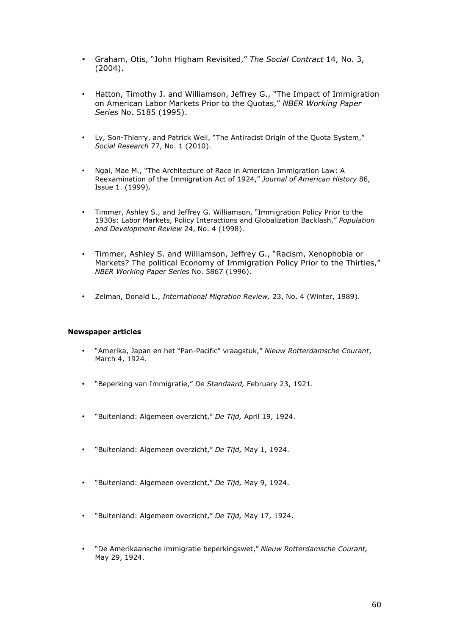- Graham, Otis, "John Higham Revisited," *The Social Contract* 14, No. 3, (2004).
- Hatton, Timothy J. and Williamson, Jeffrey G., "The Impact of Immigration on American Labor Markets Prior to the Quotas," *NBER Working Paper Series* No. 5185 (1995).
- Ly, Son-Thierry, and Patrick Weil, "The Antiracist Origin of the Quota System," *Social Research* 77, No. 1 (2010).
- Ngai, Mae M., "The Architecture of Race in American Immigration Law: A Reexamination of the Immigration Act of 1924," *Journal of American History* 86, Issue 1. (1999).
- Timmer, Ashley S., and Jeffrey G. Williamson, "Immigration Policy Prior to the 1930s: Labor Markets, Policy Interactions and Globalization Backlash," *Population and Development Review* 24, No. 4 (1998).
- Timmer, Ashley S. and Williamson, Jeffrey G., "Racism, Xenophobia or Markets? The political Economy of Immigration Policy Prior to the Thirties," *NBER Working Paper Series* No. 5867 (1996).
- Zelman, Donald L., *International Migration Review,* 23, No. 4 (Winter, 1989).

## **Newspaper articles**

- "Amerika, Japan en het "Pan-Pacific" vraagstuk," *Nieuw Rotterdamsche Courant*, March 4, 1924.
- "Beperking van Immigratie," *De Standaard,* February 23, 1921.
- "Buitenland: Algemeen overzicht," *De Tijd,* April 19, 1924.
- "Buitenland: Algemeen overzicht," *De Tijd,* May 1, 1924.
- "Buitenland: Algemeen overzicht," *De Tijd,* May 9, 1924.
- "Buitenland: Algemeen overzicht," *De Tijd,* May 17, 1924.
- "De Amerikaansche immigratie beperkingswet," *Nieuw Rotterdamsche Courant,*  May 29, 1924.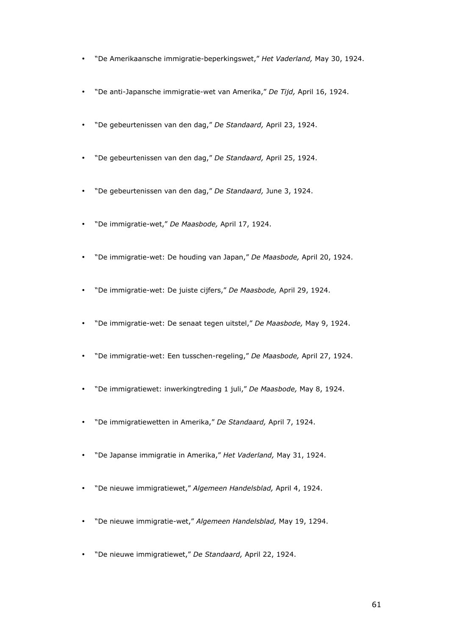- "De Amerikaansche immigratie-beperkingswet," *Het Vaderland,* May 30, 1924.
- "De anti-Japansche immigratie-wet van Amerika," *De Tijd,* April 16, 1924.
- "De gebeurtenissen van den dag," *De Standaard,* April 23, 1924.
- "De gebeurtenissen van den dag," *De Standaard,* April 25, 1924.
- "De gebeurtenissen van den dag," *De Standaard,* June 3, 1924.
- "De immigratie-wet," *De Maasbode,* April 17, 1924.
- "De immigratie-wet: De houding van Japan," *De Maasbode,* April 20, 1924.
- "De immigratie-wet: De juiste cijfers," *De Maasbode,* April 29, 1924.
- "De immigratie-wet: De senaat tegen uitstel," *De Maasbode,* May 9, 1924.
- "De immigratie-wet: Een tusschen-regeling," *De Maasbode,* April 27, 1924.
- "De immigratiewet: inwerkingtreding 1 juli," *De Maasbode,* May 8, 1924.
- "De immigratiewetten in Amerika," *De Standaard,* April 7, 1924.
- "De Japanse immigratie in Amerika," *Het Vaderland,* May 31, 1924.
- "De nieuwe immigratiewet," *Algemeen Handelsblad,* April 4, 1924.
- "De nieuwe immigratie-wet," *Algemeen Handelsblad,* May 19, 1294.
- "De nieuwe immigratiewet," *De Standaard,* April 22, 1924.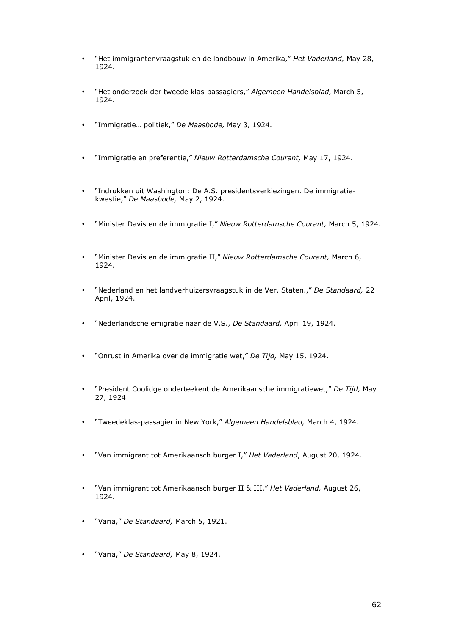- "Het immigrantenvraagstuk en de landbouw in Amerika," *Het Vaderland,* May 28, 1924.
- "Het onderzoek der tweede klas-passagiers," *Algemeen Handelsblad,* March 5, 1924.
- "Immigratie… politiek," *De Maasbode,* May 3, 1924.
- "Immigratie en preferentie," *Nieuw Rotterdamsche Courant,* May 17, 1924.
- "Indrukken uit Washington: De A.S. presidentsverkiezingen. De immigratiekwestie," *De Maasbode,* May 2, 1924.
- "Minister Davis en de immigratie I," *Nieuw Rotterdamsche Courant,* March 5, 1924.
- "Minister Davis en de immigratie II," *Nieuw Rotterdamsche Courant,* March 6, 1924.
- "Nederland en het landverhuizersvraagstuk in de Ver. Staten.," *De Standaard,* 22 April, 1924.
- "Nederlandsche emigratie naar de V.S., *De Standaard,* April 19, 1924.
- "Onrust in Amerika over de immigratie wet," *De Tijd,* May 15, 1924.
- "President Coolidge onderteekent de Amerikaansche immigratiewet," *De Tijd,* May 27, 1924.
- "Tweedeklas-passagier in New York," *Algemeen Handelsblad,* March 4, 1924.
- "Van immigrant tot Amerikaansch burger I," *Het Vaderland*, August 20, 1924.
- "Van immigrant tot Amerikaansch burger II & III," *Het Vaderland,* August 26, 1924.
- "Varia," *De Standaard,* March 5, 1921.
- "Varia," *De Standaard,* May 8, 1924.